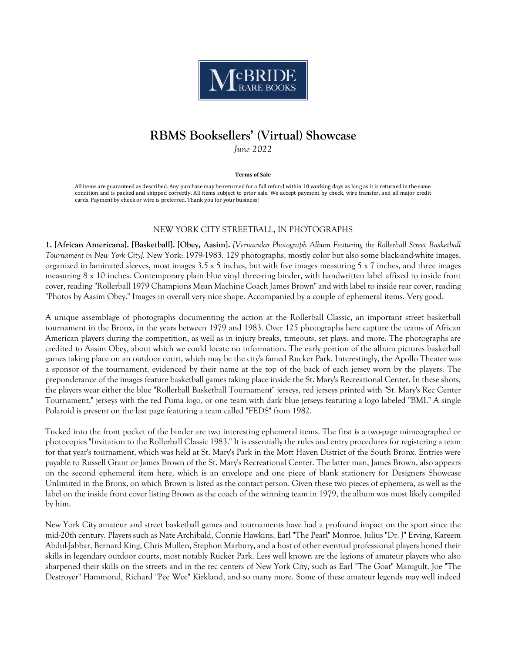

# **RBMS Booksellers' (Virtual) Showcase**

*June 2022*

#### **Terms of Sale**

All items are guaranteed as described. Any purchase may be returned for a full refund within 10 working days as long as it is returned in the same condition and is packed and shipped correctly. All items subject to prior sale. We accept payment by check, wire transfer, and all major credit cards. Payment by check or wire is preferred. Thank you for your business!

# NEW YORK CITY STREETBALL, IN PHOTOGRAPHS

**1. [African Americana]. [Basketball]. [Obey, Aasim].** *[Vernacular Photograph Album Featuring the Rollerball Street Basketball Tournament in New York City].* New York: 1979-1983. 129 photographs, mostly color but also some black-and-white images, organized in laminated sleeves, most images 3.5 x 5 inches, but with five images measuring 5 x 7 inches, and three images measuring 8 x 10 inches. Contemporary plain blue vinyl three-ring binder, with handwritten label affixed to inside front cover, reading "Rollerball 1979 Champions Mean Machine Coach James Brown" and with label to inside rear cover, reading "Photos by Aasim Obey." Images in overall very nice shape. Accompanied by a couple of ephemeral items. Very good.

A unique assemblage of photographs documenting the action at the Rollerball Classic, an important street basketball tournament in the Bronx, in the years between 1979 and 1983. Over 125 photographs here capture the teams of African American players during the competition, as well as in injury breaks, timeouts, set plays, and more. The photographs are credited to Aasim Obey, about which we could locate no information. The early portion of the album pictures basketball games taking place on an outdoor court, which may be the city's famed Rucker Park. Interestingly, the Apollo Theater was a sponsor of the tournament, evidenced by their name at the top of the back of each jersey worn by the players. The preponderance of the images feature basketball games taking place inside the St. Mary's Recreational Center. In these shots, the players wear either the blue "Rollerball Basketball Tournament" jerseys, red jerseys printed with "St. Mary's Rec Center Tournament," jerseys with the red Puma logo, or one team with dark blue jerseys featuring a logo labeled "BMI." A single Polaroid is present on the last page featuring a team called "FEDS" from 1982.

Tucked into the front pocket of the binder are two interesting ephemeral items. The first is a two-page mimeographed or photocopies "Invitation to the Rollerball Classic 1983." It is essentially the rules and entry procedures for registering a team for that year's tournament, which was held at St. Mary's Park in the Mott Haven District of the South Bronx. Entries were payable to Russell Grant or James Brown of the St. Mary's Recreational Center. The latter man, James Brown, also appears on the second ephemeral item here, which is an envelope and one piece of blank stationery for Designers Showcase Unlimited in the Bronx, on which Brown is listed as the contact person. Given these two pieces of ephemera, as well as the label on the inside front cover listing Brown as the coach of the winning team in 1979, the album was most likely compiled by him.

New York City amateur and street basketball games and tournaments have had a profound impact on the sport since the mid-20th century. Players such as Nate Archibald, Connie Hawkins, Earl "The Pearl" Monroe, Julius "Dr. J" Erving, Kareem Abdul-Jabbar, Bernard King, Chris Mullen, Stephon Marbury, and a host of other eventual professional players honed their skills in legendary outdoor courts, most notably Rucker Park. Less well known are the legions of amateur players who also sharpened their skills on the streets and in the rec centers of New York City, such as Earl "The Goat" Manigult, Joe "The Destroyer" Hammond, Richard "Pee Wee" Kirkland, and so many more. Some of these amateur legends may well indeed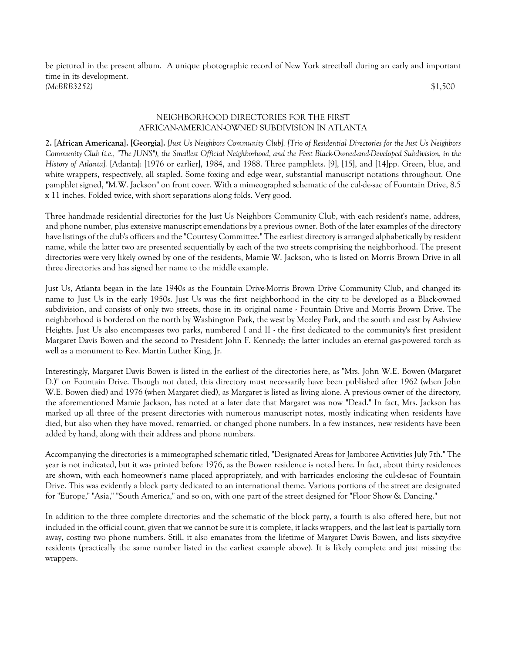be pictured in the present album. A unique photographic record of New York streetball during an early and important time in its development. *(McBRB3252)* \$1,500

# NEIGHBORHOOD DIRECTORIES FOR THE FIRST AFRICAN-AMERICAN-OWNED SUBDIVISION IN ATLANTA

**2. [African Americana]. [Georgia].** *[Just Us Neighbors Community Club]. [Trio of Residential Directories for the Just Us Neighbors Community Club (i.e., "The JUNS"), the Smallest Official Neighborhood, and the First Black-Owned-and-Developed Subdivision, in the History of Atlanta].* [Atlanta]: [1976 or earlier], 1984, and 1988. Three pamphlets. [9], [15], and [14]pp. Green, blue, and white wrappers, respectively, all stapled. Some foxing and edge wear, substantial manuscript notations throughout. One pamphlet signed, "M.W. Jackson" on front cover. With a mimeographed schematic of the cul-de-sac of Fountain Drive, 8.5 x 11 inches. Folded twice, with short separations along folds. Very good.

Three handmade residential directories for the Just Us Neighbors Community Club, with each resident's name, address, and phone number, plus extensive manuscript emendations by a previous owner. Both of the later examples of the directory have listings of the club's officers and the "Courtesy Committee." The earliest directory is arranged alphabetically by resident name, while the latter two are presented sequentially by each of the two streets comprising the neighborhood. The present directories were very likely owned by one of the residents, Mamie W. Jackson, who is listed on Morris Brown Drive in all three directories and has signed her name to the middle example.

Just Us, Atlanta began in the late 1940s as the Fountain Drive-Morris Brown Drive Community Club, and changed its name to Just Us in the early 1950s. Just Us was the first neighborhood in the city to be developed as a Black-owned subdivision, and consists of only two streets, those in its original name - Fountain Drive and Morris Brown Drive. The neighborhood is bordered on the north by Washington Park, the west by Mozley Park, and the south and east by Ashview Heights. Just Us also encompasses two parks, numbered I and II - the first dedicated to the community's first president Margaret Davis Bowen and the second to President John F. Kennedy; the latter includes an eternal gas-powered torch as well as a monument to Rev. Martin Luther King, Jr.

Interestingly, Margaret Davis Bowen is listed in the earliest of the directories here, as "Mrs. John W.E. Bowen (Margaret D.)" on Fountain Drive. Though not dated, this directory must necessarily have been published after 1962 (when John W.E. Bowen died) and 1976 (when Margaret died), as Margaret is listed as living alone. A previous owner of the directory, the aforementioned Mamie Jackson, has noted at a later date that Margaret was now "Dead." In fact, Mrs. Jackson has marked up all three of the present directories with numerous manuscript notes, mostly indicating when residents have died, but also when they have moved, remarried, or changed phone numbers. In a few instances, new residents have been added by hand, along with their address and phone numbers.

Accompanying the directories is a mimeographed schematic titled, "Designated Areas for Jamboree Activities July 7th." The year is not indicated, but it was printed before 1976, as the Bowen residence is noted here. In fact, about thirty residences are shown, with each homeowner's name placed appropriately, and with barricades enclosing the cul-de-sac of Fountain Drive. This was evidently a block party dedicated to an international theme. Various portions of the street are designated for "Europe," "Asia," "South America," and so on, with one part of the street designed for "Floor Show & Dancing."

In addition to the three complete directories and the schematic of the block party, a fourth is also offered here, but not included in the official count, given that we cannot be sure it is complete, it lacks wrappers, and the last leaf is partially torn away, costing two phone numbers. Still, it also emanates from the lifetime of Margaret Davis Bowen, and lists sixty-five residents (practically the same number listed in the earliest example above). It is likely complete and just missing the wrappers.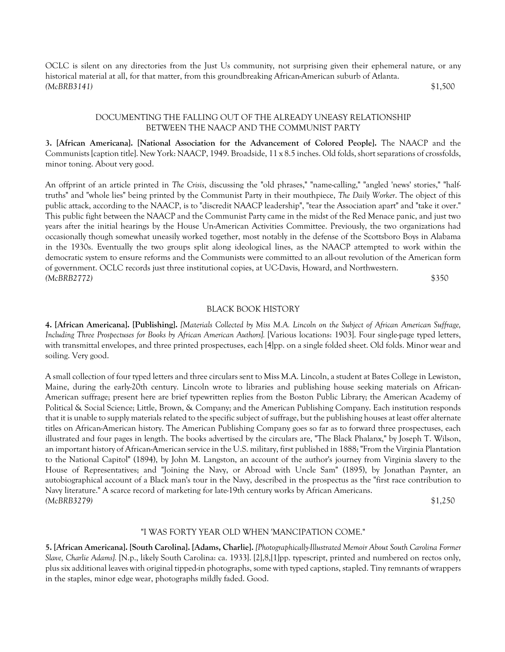OCLC is silent on any directories from the Just Us community, not surprising given their ephemeral nature, or any historical material at all, for that matter, from this groundbreaking African-American suburb of Atlanta. *(McBRB3141)* \$1,500

# DOCUMENTING THE FALLING OUT OF THE ALREADY UNEASY RELATIONSHIP BETWEEN THE NAACP AND THE COMMUNIST PARTY

**3. [African Americana]. [National Association for the Advancement of Colored People].** The NAACP and the Communists [caption title]. New York: NAACP, 1949. Broadside, 11 x 8.5 inches. Old folds, short separations of crossfolds, minor toning. About very good.

An offprint of an article printed in *The Crisis*, discussing the "old phrases," "name-calling," "angled 'news' stories," "halftruths" and "whole lies" being printed by the Communist Party in their mouthpiece, *The Daily Worker*. The object of this public attack, according to the NAACP, is to "discredit NAACP leadership", "tear the Association apart" and "take it over." This public fight between the NAACP and the Communist Party came in the midst of the Red Menace panic, and just two years after the initial hearings by the House Un-American Activities Committee. Previously, the two organizations had occasionally though somewhat uneasily worked together, most notably in the defense of the Scottsboro Boys in Alabama in the 1930s. Eventually the two groups split along ideological lines, as the NAACP attempted to work within the democratic system to ensure reforms and the Communists were committed to an all-out revolution of the American form of government. OCLC records just three institutional copies, at UC-Davis, Howard, and Northwestern. *(McBRB2772)* \$350

#### BLACK BOOK HISTORY

**4. [African Americana]. [Publishing].** *[Materials Collected by Miss M.A. Lincoln on the Subject of African American Suffrage, Including Three Prospectuses for Books by African American Authors].* [Various locations: 1903]. Four single-page typed letters, with transmittal envelopes, and three printed prospectuses, each [4]pp. on a single folded sheet. Old folds. Minor wear and soiling. Very good.

A small collection of four typed letters and three circulars sent to Miss M.A. Lincoln, a student at Bates College in Lewiston, Maine, during the early-20th century. Lincoln wrote to libraries and publishing house seeking materials on African-American suffrage; present here are brief typewritten replies from the Boston Public Library; the American Academy of Political & Social Science; Little, Brown, & Company; and the American Publishing Company. Each institution responds that it is unable to supply materials related to the specific subject of suffrage, but the publishing houses at least offer alternate titles on African-American history. The American Publishing Company goes so far as to forward three prospectuses, each illustrated and four pages in length. The books advertised by the circulars are, "The Black Phalanx," by Joseph T. Wilson, an important history of African-American service in the U.S. military, first published in 1888; "From the Virginia Plantation to the National Capitol" (1894), by John M. Langston, an account of the author's journey from Virginia slavery to the House of Representatives; and "Joining the Navy, or Abroad with Uncle Sam" (1895), by Jonathan Paynter, an autobiographical account of a Black man's tour in the Navy, described in the prospectus as the "first race contribution to Navy literature." A scarce record of marketing for late-19th century works by African Americans. *(McBRB3279)* \$1,250

# "I WAS FORTY YEAR OLD WHEN 'MANCIPATION COME."

**5. [African Americana]. [South Carolina]. [Adams, Charlie].** *[Photographically-Illustrated Memoir About South Carolina Former Slave, Charlie Adams].* [N.p., likely South Carolina: ca. 1933]. [2],8,[1]pp. typescript, printed and numbered on rectos only, plus six additional leaves with original tipped-in photographs, some with typed captions, stapled. Tiny remnants of wrappers in the staples, minor edge wear, photographs mildly faded. Good.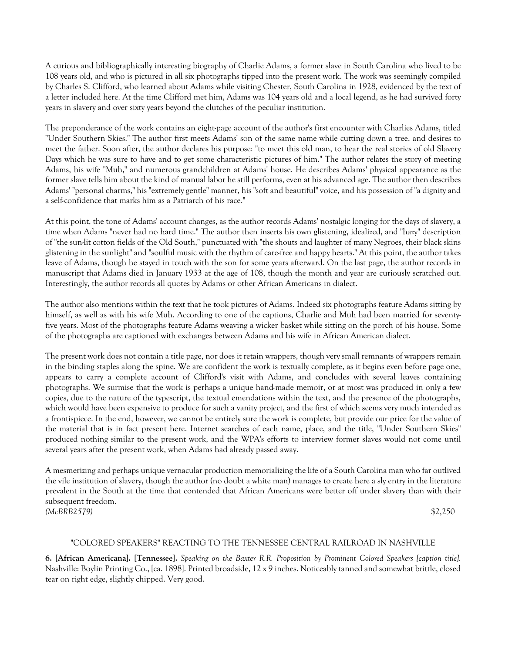A curious and bibliographically interesting biography of Charlie Adams, a former slave in South Carolina who lived to be 108 years old, and who is pictured in all six photographs tipped into the present work. The work was seemingly compiled by Charles S. Clifford, who learned about Adams while visiting Chester, South Carolina in 1928, evidenced by the text of a letter included here. At the time Clifford met him, Adams was 104 years old and a local legend, as he had survived forty years in slavery and over sixty years beyond the clutches of the peculiar institution.

The preponderance of the work contains an eight-page account of the author's first encounter with Charlies Adams, titled "Under Southern Skies." The author first meets Adams' son of the same name while cutting down a tree, and desires to meet the father. Soon after, the author declares his purpose: "to meet this old man, to hear the real stories of old Slavery Days which he was sure to have and to get some characteristic pictures of him." The author relates the story of meeting Adams, his wife "Muh," and numerous grandchildren at Adams' house. He describes Adams' physical appearance as the former slave tells him about the kind of manual labor he still performs, even at his advanced age. The author then describes Adams' "personal charms," his "extremely gentle" manner, his "soft and beautiful" voice, and his possession of "a dignity and a self-confidence that marks him as a Patriarch of his race."

At this point, the tone of Adams' account changes, as the author records Adams' nostalgic longing for the days of slavery, a time when Adams "never had no hard time." The author then inserts his own glistening, idealized, and "hazy" description of "the sun-lit cotton fields of the Old South," punctuated with "the shouts and laughter of many Negroes, their black skins glistening in the sunlight" and "soulful music with the rhythm of care-free and happy hearts." At this point, the author takes leave of Adams, though he stayed in touch with the son for some years afterward. On the last page, the author records in manuscript that Adams died in January 1933 at the age of 108, though the month and year are curiously scratched out. Interestingly, the author records all quotes by Adams or other African Americans in dialect.

The author also mentions within the text that he took pictures of Adams. Indeed six photographs feature Adams sitting by himself, as well as with his wife Muh. According to one of the captions, Charlie and Muh had been married for seventyfive years. Most of the photographs feature Adams weaving a wicker basket while sitting on the porch of his house. Some of the photographs are captioned with exchanges between Adams and his wife in African American dialect.

The present work does not contain a title page, nor does it retain wrappers, though very small remnants of wrappers remain in the binding staples along the spine. We are confident the work is textually complete, as it begins even before page one, appears to carry a complete account of Clifford's visit with Adams, and concludes with several leaves containing photographs. We surmise that the work is perhaps a unique hand-made memoir, or at most was produced in only a few copies, due to the nature of the typescript, the textual emendations within the text, and the presence of the photographs, which would have been expensive to produce for such a vanity project, and the first of which seems very much intended as a frontispiece. In the end, however, we cannot be entirely sure the work is complete, but provide our price for the value of the material that is in fact present here. Internet searches of each name, place, and the title, "Under Southern Skies" produced nothing similar to the present work, and the WPA's efforts to interview former slaves would not come until several years after the present work, when Adams had already passed away.

A mesmerizing and perhaps unique vernacular production memorializing the life of a South Carolina man who far outlived the vile institution of slavery, though the author (no doubt a white man) manages to create here a sly entry in the literature prevalent in the South at the time that contended that African Americans were better off under slavery than with their subsequent freedom. *(McBRB2579)* \$2,250

# "COLORED SPEAKERS" REACTING TO THE TENNESSEE CENTRAL RAILROAD IN NASHVILLE

**6. [African Americana]. [Tennessee].** *Speaking on the Baxter R.R. Proposition by Prominent Colored Speakers [caption title].* Nashville: Boylin Printing Co., [ca. 1898]. Printed broadside, 12 x 9 inches. Noticeably tanned and somewhat brittle, closed tear on right edge, slightly chipped. Very good.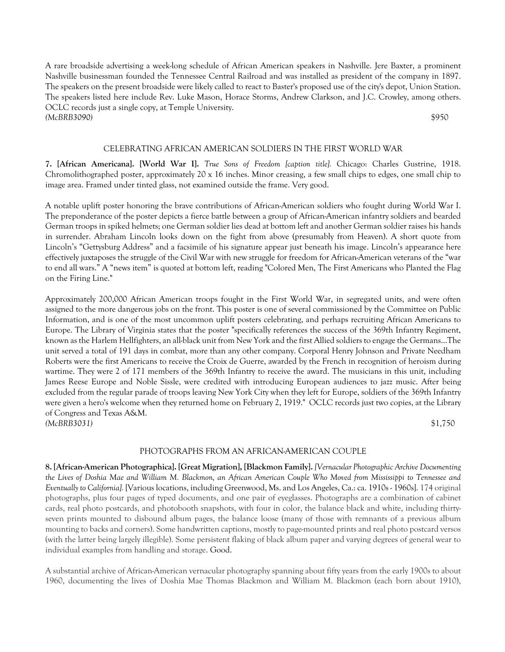A rare broadside advertising a week-long schedule of African American speakers in Nashville. Jere Baxter, a prominent Nashville businessman founded the Tennessee Central Railroad and was installed as president of the company in 1897. The speakers on the present broadside were likely called to react to Baster's proposed use of the city's depot, Union Station. The speakers listed here include Rev. Luke Mason, Horace Storms, Andrew Clarkson, and J.C. Crowley, among others. OCLC records just a single copy, at Temple University. *(McBRB3090)* \$950

## CELEBRATING AFRICAN AMERICAN SOLDIERS IN THE FIRST WORLD WAR

**7. [African Americana]. [World War I].** *True Sons of Freedom [caption title].* Chicago: Charles Gustrine, 1918. Chromolithographed poster, approximately 20 x 16 inches. Minor creasing, a few small chips to edges, one small chip to image area. Framed under tinted glass, not examined outside the frame. Very good.

A notable uplift poster honoring the brave contributions of African-American soldiers who fought during World War I. The preponderance of the poster depicts a fierce battle between a group of African-American infantry soldiers and bearded German troops in spiked helmets; one German soldier lies dead at bottom left and another German soldier raises his hands in surrender. Abraham Lincoln looks down on the fight from above (presumably from Heaven). A short quote from Lincoln's "Gettysburg Address" and a facsimile of his signature appear just beneath his image. Lincoln's appearance here effectively juxtaposes the struggle of the Civil War with new struggle for freedom for African-American veterans of the "war to end all wars." A "news item" is quoted at bottom left, reading "Colored Men, The First Americans who Planted the Flag on the Firing Line."

Approximately 200,000 African American troops fought in the First World War, in segregated units, and were often assigned to the more dangerous jobs on the front. This poster is one of several commissioned by the Committee on Public Information, and is one of the most uncommon uplift posters celebrating, and perhaps recruiting African Americans to Europe. The Library of Virginia states that the poster "specifically references the success of the 369th Infantry Regiment, known as the Harlem Hellfighters, an all-black unit from New York and the first Allied soldiers to engage the Germans...The unit served a total of 191 days in combat, more than any other company. Corporal Henry Johnson and Private Needham Roberts were the first Americans to receive the Croix de Guerre, awarded by the French in recognition of heroism during wartime. They were 2 of 171 members of the 369th Infantry to receive the award. The musicians in this unit, including James Reese Europe and Noble Sissle, were credited with introducing European audiences to jazz music. After being excluded from the regular parade of troops leaving New York City when they left for Europe, soldiers of the 369th Infantry were given a hero's welcome when they returned home on February 2, 1919." OCLC records just two copies, at the Library of Congress and Texas A&M. *(McBRB3031)* \$1,750

#### PHOTOGRAPHS FROM AN AFRICAN-AMERICAN COUPLE

**8. [African-American Photographica]. [Great Migration], [Blackmon Family].** *[Vernacular Photographic Archive Documenting the Lives of Doshia Mae and William M. Blackmon, an African American Couple Who Moved from Mississippi to Tennessee and Eventually to California].* [Various locations, including Greenwood, Ms. and Los Angeles, Ca.: ca. 1910s - 1960s]. 174 original photographs, plus four pages of typed documents, and one pair of eyeglasses. Photographs are a combination of cabinet cards, real photo postcards, and photobooth snapshots, with four in color, the balance black and white, including thirtyseven prints mounted to disbound album pages, the balance loose (many of those with remnants of a previous album mounting to backs and corners). Some handwritten captions, mostly to page-mounted prints and real photo postcard versos (with the latter being largely illegible). Some persistent flaking of black album paper and varying degrees of general wear to individual examples from handling and storage. Good.

A substantial archive of African-American vernacular photography spanning about fifty years from the early 1900s to about 1960, documenting the lives of Doshia Mae Thomas Blackmon and William M. Blackmon (each born about 1910),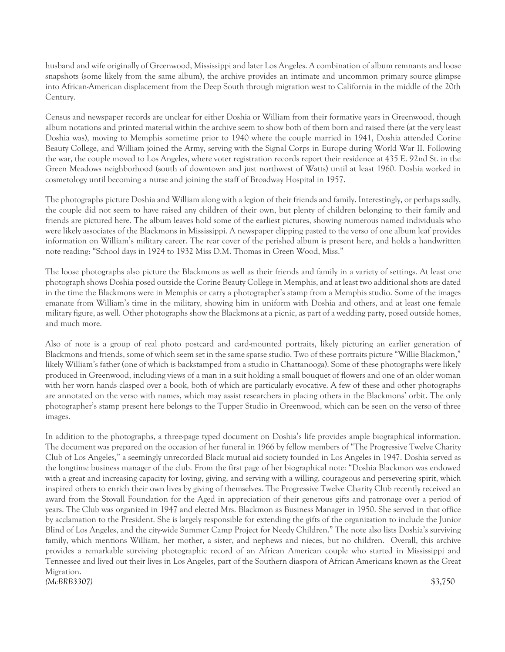husband and wife originally of Greenwood, Mississippi and later Los Angeles. A combination of album remnants and loose snapshots (some likely from the same album), the archive provides an intimate and uncommon primary source glimpse into African-American displacement from the Deep South through migration west to California in the middle of the 20th Century.

Census and newspaper records are unclear for either Doshia or William from their formative years in Greenwood, though album notations and printed material within the archive seem to show both of them born and raised there (at the very least Doshia was), moving to Memphis sometime prior to 1940 where the couple married in 1941, Doshia attended Corine Beauty College, and William joined the Army, serving with the Signal Corps in Europe during World War II. Following the war, the couple moved to Los Angeles, where voter registration records report their residence at 435 E. 92nd St. in the Green Meadows neighborhood (south of downtown and just northwest of Watts) until at least 1960. Doshia worked in cosmetology until becoming a nurse and joining the staff of Broadway Hospital in 1957.

The photographs picture Doshia and William along with a legion of their friends and family. Interestingly, or perhaps sadly, the couple did not seem to have raised any children of their own, but plenty of children belonging to their family and friends are pictured here. The album leaves hold some of the earliest pictures, showing numerous named individuals who were likely associates of the Blackmons in Mississippi. A newspaper clipping pasted to the verso of one album leaf provides information on William's military career. The rear cover of the perished album is present here, and holds a handwritten note reading: "School days in 1924 to 1932 Miss D.M. Thomas in Green Wood, Miss."

The loose photographs also picture the Blackmons as well as their friends and family in a variety of settings. At least one photograph shows Doshia posed outside the Corine Beauty College in Memphis, and at least two additional shots are dated in the time the Blackmons were in Memphis or carry a photographer's stamp from a Memphis studio. Some of the images emanate from William's time in the military, showing him in uniform with Doshia and others, and at least one female military figure, as well. Other photographs show the Blackmons at a picnic, as part of a wedding party, posed outside homes, and much more.

Also of note is a group of real photo postcard and card-mounted portraits, likely picturing an earlier generation of Blackmons and friends, some of which seem set in the same sparse studio. Two of these portraits picture "Willie Blackmon," likely William's father (one of which is backstamped from a studio in Chattanooga). Some of these photographs were likely produced in Greenwood, including views of a man in a suit holding a small bouquet of flowers and one of an older woman with her worn hands clasped over a book, both of which are particularly evocative. A few of these and other photographs are annotated on the verso with names, which may assist researchers in placing others in the Blackmons' orbit. The only photographer's stamp present here belongs to the Tupper Studio in Greenwood, which can be seen on the verso of three images.

In addition to the photographs, a three-page typed document on Doshia's life provides ample biographical information. The document was prepared on the occasion of her funeral in 1966 by fellow members of "The Progressive Twelve Charity Club of Los Angeles," a seemingly unrecorded Black mutual aid society founded in Los Angeles in 1947. Doshia served as the longtime business manager of the club. From the first page of her biographical note: "Doshia Blackmon was endowed with a great and increasing capacity for loving, giving, and serving with a willing, courageous and persevering spirit, which inspired others to enrich their own lives by giving of themselves. The Progressive Twelve Charity Club recently received an award from the Stovall Foundation for the Aged in appreciation of their generous gifts and patronage over a period of years. The Club was organized in 1947 and elected Mrs. Blackmon as Business Manager in 1950. She served in that office by acclamation to the President. She is largely responsible for extending the gifts of the organization to include the Junior Blind of Los Angeles, and the city-wide Summer Camp Project for Needy Children." The note also lists Doshia's surviving family, which mentions William, her mother, a sister, and nephews and nieces, but no children. Overall, this archive provides a remarkable surviving photographic record of an African American couple who started in Mississippi and Tennessee and lived out their lives in Los Angeles, part of the Southern diaspora of African Americans known as the Great Migration. *(McBRB3307)* \$3,750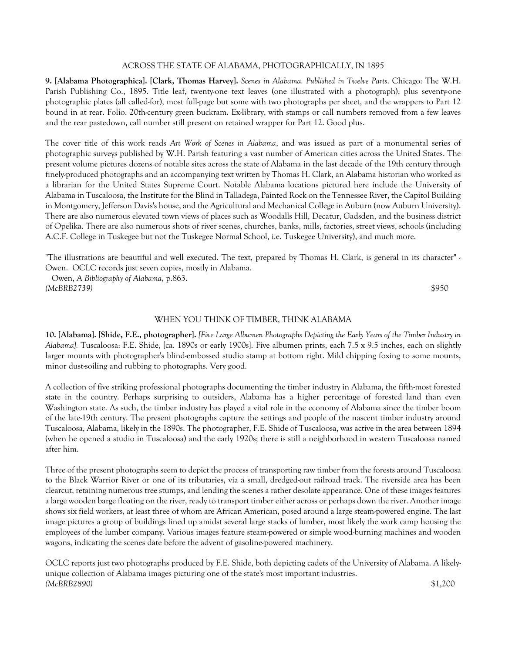# ACROSS THE STATE OF ALABAMA, PHOTOGRAPHICALLY, IN 1895

**9. [Alabama Photographica]. [Clark, Thomas Harvey].** *Scenes in Alabama. Published in Twelve Parts*. Chicago: The W.H. Parish Publishing Co., 1895. Title leaf, twenty-one text leaves (one illustrated with a photograph), plus seventy-one photographic plates (all called-for), most full-page but some with two photographs per sheet, and the wrappers to Part 12 bound in at rear. Folio. 20th-century green buckram. Ex-library, with stamps or call numbers removed from a few leaves and the rear pastedown, call number still present on retained wrapper for Part 12. Good plus.

The cover title of this work reads *Art Work of Scenes in Alabama*, and was issued as part of a monumental series of photographic surveys published by W.H. Parish featuring a vast number of American cities across the United States. The present volume pictures dozens of notable sites across the state of Alabama in the last decade of the 19th century through finely-produced photographs and an accompanying text written by Thomas H. Clark, an Alabama historian who worked as a librarian for the United States Supreme Court. Notable Alabama locations pictured here include the University of Alabama in Tuscaloosa, the Institute for the Blind in Talladega, Painted Rock on the Tennessee River, the Capitol Building in Montgomery, Jefferson Davis's house, and the Agricultural and Mechanical College in Auburn (now Auburn University). There are also numerous elevated town views of places such as Woodalls Hill, Decatur, Gadsden, and the business district of Opelika. There are also numerous shots of river scenes, churches, banks, mills, factories, street views, schools (including A.C.F. College in Tuskegee but not the Tuskegee Normal School, i.e. Tuskegee University), and much more.

"The illustrations are beautiful and well executed. The text, prepared by Thomas H. Clark, is general in its character" - Owen. OCLC records just seven copies, mostly in Alabama.

 Owen, *A Bibliography of Alabama*, p.863. *(McBRB2739)* \$950

# WHEN YOU THINK OF TIMBER, THINK ALABAMA

**10. [Alabama]. [Shide, F.E., photographer].** *[Five Large Albumen Photographs Depicting the Early Years of the Timber Industry in Alabama].* Tuscaloosa: F.E. Shide, [ca. 1890s or early 1900s]. Five albumen prints, each 7.5 x 9.5 inches, each on slightly larger mounts with photographer's blind-embossed studio stamp at bottom right. Mild chipping foxing to some mounts, minor dust-soiling and rubbing to photographs. Very good.

A collection of five striking professional photographs documenting the timber industry in Alabama, the fifth-most forested state in the country. Perhaps surprising to outsiders, Alabama has a higher percentage of forested land than even Washington state. As such, the timber industry has played a vital role in the economy of Alabama since the timber boom of the late-19th century. The present photographs capture the settings and people of the nascent timber industry around Tuscaloosa, Alabama, likely in the 1890s. The photographer, F.E. Shide of Tuscaloosa, was active in the area between 1894 (when he opened a studio in Tuscaloosa) and the early 1920s; there is still a neighborhood in western Tuscaloosa named after him.

Three of the present photographs seem to depict the process of transporting raw timber from the forests around Tuscaloosa to the Black Warrior River or one of its tributaries, via a small, dredged-out railroad track. The riverside area has been clearcut, retaining numerous tree stumps, and lending the scenes a rather desolate appearance. One of these images features a large wooden barge floating on the river, ready to transport timber either across or perhaps down the river. Another image shows six field workers, at least three of whom are African American, posed around a large steam-powered engine. The last image pictures a group of buildings lined up amidst several large stacks of lumber, most likely the work camp housing the employees of the lumber company. Various images feature steam-powered or simple wood-burning machines and wooden wagons, indicating the scenes date before the advent of gasoline-powered machinery.

OCLC reports just two photographs produced by F.E. Shide, both depicting cadets of the University of Alabama. A likelyunique collection of Alabama images picturing one of the state's most important industries. *(McBRB2890)* \$1,200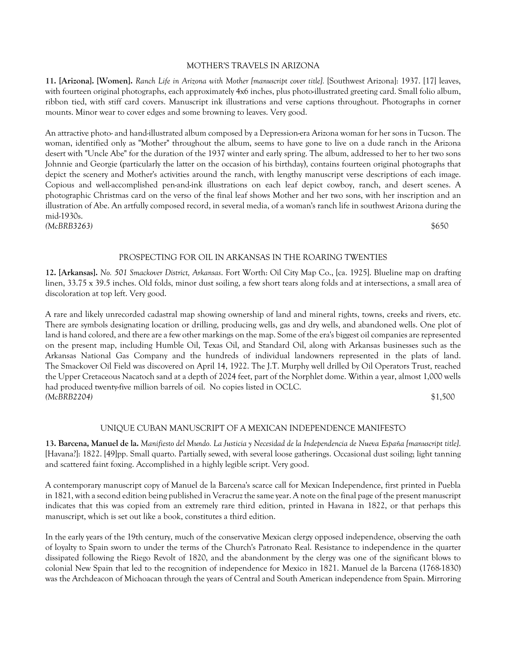## MOTHER'S TRAVELS IN ARIZONA

**11. [Arizona]. [Women].** *Ranch Life in Arizona with Mother [manuscript cover title].* [Southwest Arizona]: 1937. [17] leaves, with fourteen original photographs, each approximately 4x6 inches, plus photo-illustrated greeting card. Small folio album, ribbon tied, with stiff card covers. Manuscript ink illustrations and verse captions throughout. Photographs in corner mounts. Minor wear to cover edges and some browning to leaves. Very good.

An attractive photo- and hand-illustrated album composed by a Depression-era Arizona woman for her sons in Tucson. The woman, identified only as "Mother" throughout the album, seems to have gone to live on a dude ranch in the Arizona desert with "Uncle Abe" for the duration of the 1937 winter and early spring. The album, addressed to her to her two sons Johnnie and Georgie (particularly the latter on the occasion of his birthday), contains fourteen original photographs that depict the scenery and Mother's activities around the ranch, with lengthy manuscript verse descriptions of each image. Copious and well-accomplished pen-and-ink illustrations on each leaf depict cowboy, ranch, and desert scenes. A photographic Christmas card on the verso of the final leaf shows Mother and her two sons, with her inscription and an illustration of Abe. An artfully composed record, in several media, of a woman's ranch life in southwest Arizona during the mid-1930s. *(McBRB3263)* \$650

# PROSPECTING FOR OIL IN ARKANSAS IN THE ROARING TWENTIES

**12. [Arkansas].** *No. 501 Smackover District, Arkansas*. Fort Worth: Oil City Map Co., [ca. 1925]. Blueline map on drafting linen, 33.75 x 39.5 inches. Old folds, minor dust soiling, a few short tears along folds and at intersections, a small area of discoloration at top left. Very good.

A rare and likely unrecorded cadastral map showing ownership of land and mineral rights, towns, creeks and rivers, etc. There are symbols designating location or drilling, producing wells, gas and dry wells, and abandoned wells. One plot of land is hand colored, and there are a few other markings on the map. Some of the era's biggest oil companies are represented on the present map, including Humble Oil, Texas Oil, and Standard Oil, along with Arkansas businesses such as the Arkansas National Gas Company and the hundreds of individual landowners represented in the plats of land. The Smackover Oil Field was discovered on April 14, 1922. The J.T. Murphy well drilled by Oil Operators Trust, reached the Upper Cretaceous Nacatoch sand at a depth of 2024 feet, part of the Norphlet dome. Within a year, almost 1,000 wells had produced twenty-five million barrels of oil. No copies listed in OCLC. *(McBRB2204)* \$1,500

# UNIQUE CUBAN MANUSCRIPT OF A MEXICAN INDEPENDENCE MANIFESTO

**13. Barcena, Manuel de la.** *Manifiesto del Mundo. La Justicia y Necesidad de la Independencia de Nueva España [manuscript title]*. [Havana?]: 1822. [49]pp. Small quarto. Partially sewed, with several loose gatherings. Occasional dust soiling; light tanning and scattered faint foxing. Accomplished in a highly legible script. Very good.

A contemporary manuscript copy of Manuel de la Barcena's scarce call for Mexican Independence, first printed in Puebla in 1821, with a second edition being published in Veracruz the same year. A note on the final page of the present manuscript indicates that this was copied from an extremely rare third edition, printed in Havana in 1822, or that perhaps this manuscript, which is set out like a book, constitutes a third edition.

In the early years of the 19th century, much of the conservative Mexican clergy opposed independence, observing the oath of loyalty to Spain sworn to under the terms of the Church's Patronato Real. Resistance to independence in the quarter dissipated following the Riego Revolt of 1820, and the abandonment by the clergy was one of the significant blows to colonial New Spain that led to the recognition of independence for Mexico in 1821. Manuel de la Barcena (1768-1830) was the Archdeacon of Michoacan through the years of Central and South American independence from Spain. Mirroring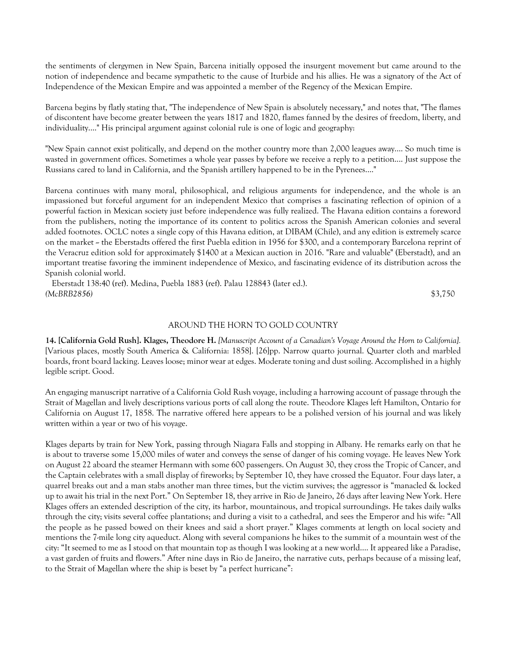the sentiments of clergymen in New Spain, Barcena initially opposed the insurgent movement but came around to the notion of independence and became sympathetic to the cause of Iturbide and his allies. He was a signatory of the Act of Independence of the Mexican Empire and was appointed a member of the Regency of the Mexican Empire.

Barcena begins by flatly stating that, "The independence of New Spain is absolutely necessary," and notes that, "The flames of discontent have become greater between the years 1817 and 1820, flames fanned by the desires of freedom, liberty, and individuality...." His principal argument against colonial rule is one of logic and geography:

"New Spain cannot exist politically, and depend on the mother country more than 2,000 leagues away.... So much time is wasted in government offices. Sometimes a whole year passes by before we receive a reply to a petition.... Just suppose the Russians cared to land in California, and the Spanish artillery happened to be in the Pyrenees...."

Barcena continues with many moral, philosophical, and religious arguments for independence, and the whole is an impassioned but forceful argument for an independent Mexico that comprises a fascinating reflection of opinion of a powerful faction in Mexican society just before independence was fully realized. The Havana edition contains a foreword from the publishers, noting the importance of its content to politics across the Spanish American colonies and several added footnotes. OCLC notes a single copy of this Havana edition, at DIBAM (Chile), and any edition is extremely scarce on the market -- the Eberstadts offered the first Puebla edition in 1956 for \$300, and a contemporary Barcelona reprint of the Veracruz edition sold for approximately \$1400 at a Mexican auction in 2016. "Rare and valuable" (Eberstadt), and an important treatise favoring the imminent independence of Mexico, and fascinating evidence of its distribution across the Spanish colonial world.

 Eberstadt 138:40 (ref). Medina, Puebla 1883 (ref). Palau 128843 (later ed.). *(McBRB2856)* \$3,750

# AROUND THE HORN TO GOLD COUNTRY

**14. [California Gold Rush]. Klages, Theodore H.** *[Manuscript Account of a Canadian's Voyage Around the Horn to California].*  [Various places, mostly South America & California: 1858]. [26]pp. Narrow quarto journal. Quarter cloth and marbled boards, front board lacking. Leaves loose; minor wear at edges. Moderate toning and dust soiling. Accomplished in a highly legible script. Good.

An engaging manuscript narrative of a California Gold Rush voyage, including a harrowing account of passage through the Strait of Magellan and lively descriptions various ports of call along the route. Theodore Klages left Hamilton, Ontario for California on August 17, 1858. The narrative offered here appears to be a polished version of his journal and was likely written within a year or two of his voyage.

Klages departs by train for New York, passing through Niagara Falls and stopping in Albany. He remarks early on that he is about to traverse some 15,000 miles of water and conveys the sense of danger of his coming voyage. He leaves New York on August 22 aboard the steamer Hermann with some 600 passengers. On August 30, they cross the Tropic of Cancer, and the Captain celebrates with a small display of fireworks; by September 10, they have crossed the Equator. Four days later, a quarrel breaks out and a man stabs another man three times, but the victim survives; the aggressor is "manacled & locked up to await his trial in the next Port." On September 18, they arrive in Rio de Janeiro, 26 days after leaving New York. Here Klages offers an extended description of the city, its harbor, mountainous, and tropical surroundings. He takes daily walks through the city; visits several coffee plantations; and during a visit to a cathedral, and sees the Emperor and his wife: "All the people as he passed bowed on their knees and said a short prayer." Klages comments at length on local society and mentions the 7-mile long city aqueduct. Along with several companions he hikes to the summit of a mountain west of the city: "It seemed to me as I stood on that mountain top as though I was looking at a new world…. It appeared like a Paradise, a vast garden of fruits and flowers." After nine days in Rio de Janeiro, the narrative cuts, perhaps because of a missing leaf, to the Strait of Magellan where the ship is beset by "a perfect hurricane":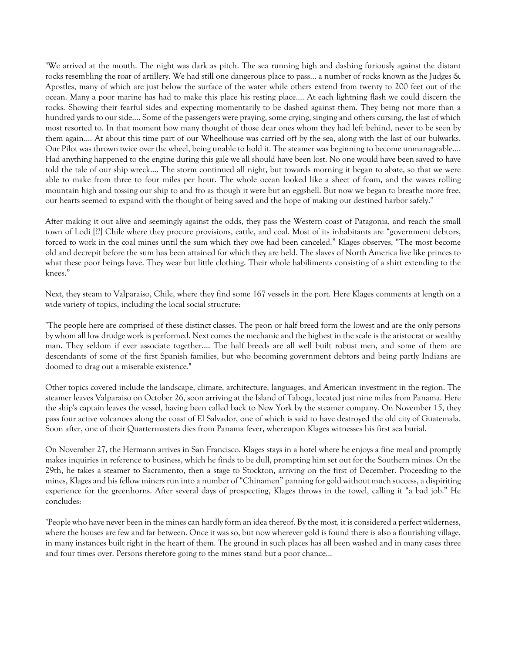"We arrived at the mouth. The night was dark as pitch. The sea running high and dashing furiously against the distant rocks resembling the roar of artillery. We had still one dangerous place to pass… a number of rocks known as the Judges & Apostles, many of which are just below the surface of the water while others extend from twenty to 200 feet out of the ocean. Many a poor marine has had to make this place his resting place…. At each lightning flash we could discern the rocks. Showing their fearful sides and expecting momentarily to be dashed against them. They being not more than a hundred yards to our side…. Some of the passengers were praying, some crying, singing and others cursing, the last of which most resorted to. In that moment how many thought of those dear ones whom they had left behind, never to be seen by them again…. At about this time part of our Wheelhouse was carried off by the sea, along with the last of our bulwarks. Our Pilot was thrown twice over the wheel, being unable to hold it. The steamer was beginning to become unmanageable…. Had anything happened to the engine during this gale we all should have been lost. No one would have been saved to have told the tale of our ship wreck…. The storm continued all night, but towards morning it began to abate, so that we were able to make from three to four miles per hour. The whole ocean looked like a sheet of foam, and the waves rolling mountain high and tossing our ship to and fro as though it were but an eggshell. But now we began to breathe more free, our hearts seemed to expand with the thought of being saved and the hope of making our destined harbor safely."

After making it out alive and seemingly against the odds, they pass the Western coast of Patagonia, and reach the small town of Lodi [??] Chile where they procure provisions, cattle, and coal. Most of its inhabitants are "government debtors, forced to work in the coal mines until the sum which they owe had been canceled." Klages observes, "The most become old and decrepit before the sum has been attained for which they are held. The slaves of North America live like princes to what these poor beings have. They wear but little clothing. Their whole habiliments consisting of a shirt extending to the knees."

Next, they steam to Valparaiso, Chile, where they find some 167 vessels in the port. Here Klages comments at length on a wide variety of topics, including the local social structure:

"The people here are comprised of these distinct classes. The peon or half breed form the lowest and are the only persons by whom all low drudge work is performed. Next comes the mechanic and the highest in the scale is the aristocrat or wealthy man. They seldom if ever associate together…. The half breeds are all well built robust men, and some of them are descendants of some of the first Spanish families, but who becoming government debtors and being partly Indians are doomed to drag out a miserable existence."

Other topics covered include the landscape, climate, architecture, languages, and American investment in the region. The steamer leaves Valparaiso on October 26, soon arriving at the Island of Taboga, located just nine miles from Panama. Here the ship's captain leaves the vessel, having been called back to New York by the steamer company. On November 15, they pass four active volcanoes along the coast of El Salvador, one of which is said to have destroyed the old city of Guatemala. Soon after, one of their Quartermasters dies from Panama fever, whereupon Klages witnesses his first sea burial.

On November 27, the Hermann arrives in San Francisco. Klages stays in a hotel where he enjoys a fine meal and promptly makes inquiries in reference to business, which he finds to be dull, prompting him set out for the Southern mines. On the 29th, he takes a steamer to Sacramento, then a stage to Stockton, arriving on the first of December. Proceeding to the mines, Klages and his fellow miners run into a number of "Chinamen" panning for gold without much success, a dispiriting experience for the greenhorns. After several days of prospecting, Klages throws in the towel, calling it "a bad job." He concludes:

"People who have never been in the mines can hardly form an idea thereof. By the most, it is considered a perfect wilderness, where the houses are few and far between. Once it was so, but now wherever gold is found there is also a flourishing village, in many instances built right in the heart of them. The ground in such places has all been washed and in many cases three and four times over. Persons therefore going to the mines stand but a poor chance…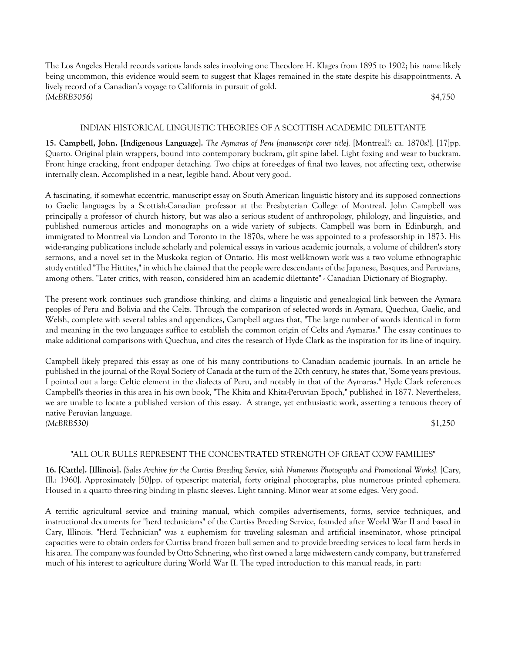The Los Angeles Herald records various lands sales involving one Theodore H. Klages from 1895 to 1902; his name likely being uncommon, this evidence would seem to suggest that Klages remained in the state despite his disappointments. A lively record of a Canadian's voyage to California in pursuit of gold. *(McBRB3056)* \$4,750

# INDIAN HISTORICAL LINGUISTIC THEORIES OF A SCOTTISH ACADEMIC DILETTANTE

**15. Campbell, John. [Indigenous Language].** *The Aymaras of Peru [manuscript cover title].* [Montreal?: ca. 1870s?]. [17]pp. Quarto. Original plain wrappers, bound into contemporary buckram, gilt spine label. Light foxing and wear to buckram. Front hinge cracking, front endpaper detaching. Two chips at fore-edges of final two leaves, not affecting text, otherwise internally clean. Accomplished in a neat, legible hand. About very good.

A fascinating, if somewhat eccentric, manuscript essay on South American linguistic history and its supposed connections to Gaelic languages by a Scottish-Canadian professor at the Presbyterian College of Montreal. John Campbell was principally a professor of church history, but was also a serious student of anthropology, philology, and linguistics, and published numerous articles and monographs on a wide variety of subjects. Campbell was born in Edinburgh, and immigrated to Montreal via London and Toronto in the 1870s, where he was appointed to a professorship in 1873. His wide-ranging publications include scholarly and polemical essays in various academic journals, a volume of children's story sermons, and a novel set in the Muskoka region of Ontario. His most well-known work was a two volume ethnographic study entitled "The Hittites," in which he claimed that the people were descendants of the Japanese, Basques, and Peruvians, among others. "Later critics, with reason, considered him an academic dilettante" - Canadian Dictionary of Biography.

The present work continues such grandiose thinking, and claims a linguistic and genealogical link between the Aymara peoples of Peru and Bolivia and the Celts. Through the comparison of selected words in Aymara, Quechua, Gaelic, and Welsh, complete with several tables and appendices, Campbell argues that, "The large number of words identical in form and meaning in the two languages suffice to establish the common origin of Celts and Aymaras." The essay continues to make additional comparisons with Quechua, and cites the research of Hyde Clark as the inspiration for its line of inquiry.

Campbell likely prepared this essay as one of his many contributions to Canadian academic journals. In an article he published in the journal of the Royal Society of Canada at the turn of the 20th century, he states that, 'Some years previous, I pointed out a large Celtic element in the dialects of Peru, and notably in that of the Aymaras." Hyde Clark references Campbell's theories in this area in his own book, "The Khita and Khita-Peruvian Epoch," published in 1877. Nevertheless, we are unable to locate a published version of this essay. A strange, yet enthusiastic work, asserting a tenuous theory of native Peruvian language. *(McBRB530)* \$1,250

# "ALL OUR BULLS REPRESENT THE CONCENTRATED STRENGTH OF GREAT COW FAMILIES"

**16. [Cattle]. [Illinois].** *[Sales Archive for the Curtiss Breeding Service, with Numerous Photographs and Promotional Works].* [Cary, Ill.: 1960]. Approximately [50]pp. of typescript material, forty original photographs, plus numerous printed ephemera. Housed in a quarto three-ring binding in plastic sleeves. Light tanning. Minor wear at some edges. Very good.

A terrific agricultural service and training manual, which compiles advertisements, forms, service techniques, and instructional documents for "herd technicians" of the Curtiss Breeding Service, founded after World War II and based in Cary, Illinois. "Herd Technician" was a euphemism for traveling salesman and artificial inseminator, whose principal capacities were to obtain orders for Curtiss brand frozen bull semen and to provide breeding services to local farm herds in his area. The company was founded by Otto Schnering, who first owned a large midwestern candy company, but transferred much of his interest to agriculture during World War II. The typed introduction to this manual reads, in part: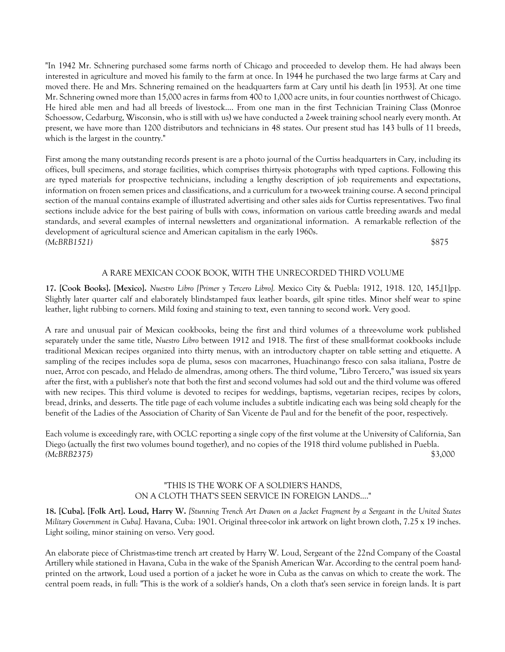"In 1942 Mr. Schnering purchased some farms north of Chicago and proceeded to develop them. He had always been interested in agriculture and moved his family to the farm at once. In 1944 he purchased the two large farms at Cary and moved there. He and Mrs. Schnering remained on the headquarters farm at Cary until his death [in 1953]. At one time Mr. Schnering owned more than 15,000 acres in farms from 400 to 1,000 acre units, in four counties northwest of Chicago. He hired able men and had all breeds of livestock.... From one man in the first Technician Training Class (Monroe Schoessow, Cedarburg, Wisconsin, who is still with us) we have conducted a 2-week training school nearly every month. At present, we have more than 1200 distributors and technicians in 48 states. Our present stud has 143 bulls of 11 breeds, which is the largest in the country."

First among the many outstanding records present is are a photo journal of the Curtiss headquarters in Cary, including its offices, bull specimens, and storage facilities, which comprises thirty-six photographs with typed captions. Following this are typed materials for prospective technicians, including a lengthy description of job requirements and expectations, information on frozen semen prices and classifications, and a curriculum for a two-week training course. A second principal section of the manual contains example of illustrated advertising and other sales aids for Curtiss representatives. Two final sections include advice for the best pairing of bulls with cows, information on various cattle breeding awards and medal standards, and several examples of internal newsletters and organizational information. A remarkable reflection of the development of agricultural science and American capitalism in the early 1960s. *(McBRB1521)* \$875

# A RARE MEXICAN COOK BOOK, WITH THE UNRECORDED THIRD VOLUME

**17. [Cook Books]. [Mexico].** *Nuestro Libro [Primer y Tercero Libro].* Mexico City & Puebla: 1912, 1918. 120, 145,[1]pp. Slightly later quarter calf and elaborately blindstamped faux leather boards, gilt spine titles. Minor shelf wear to spine leather, light rubbing to corners. Mild foxing and staining to text, even tanning to second work. Very good.

A rare and unusual pair of Mexican cookbooks, being the first and third volumes of a three-volume work published separately under the same title, *Nuestro Libro* between 1912 and 1918. The first of these small-format cookbooks include traditional Mexican recipes organized into thirty menus, with an introductory chapter on table setting and etiquette. A sampling of the recipes includes sopa de pluma, sesos con macarrones, Huachinango fresco con salsa italiana, Postre de nuez, Arroz con pescado, and Helado de almendras, among others. The third volume, "Libro Tercero," was issued six years after the first, with a publisher's note that both the first and second volumes had sold out and the third volume was offered with new recipes. This third volume is devoted to recipes for weddings, baptisms, vegetarian recipes, recipes by colors, bread, drinks, and desserts. The title page of each volume includes a subtitle indicating each was being sold cheaply for the benefit of the Ladies of the Association of Charity of San Vicente de Paul and for the benefit of the poor, respectively.

Each volume is exceedingly rare, with OCLC reporting a single copy of the first volume at the University of California, San Diego (actually the first two volumes bound together), and no copies of the 1918 third volume published in Puebla. *(McBRB2375)* \$3,000

# "THIS IS THE WORK OF A SOLDIER'S HANDS, ON A CLOTH THAT'S SEEN SERVICE IN FOREIGN LANDS...."

**18. [Cuba]. [Folk Art]. Loud, Harry W.** *[Stunning Trench Art Drawn on a Jacket Fragment by a Sergeant in the United States Military Government in Cuba].* Havana, Cuba: 1901. Original three-color ink artwork on light brown cloth, 7.25 x 19 inches. Light soiling, minor staining on verso. Very good.

An elaborate piece of Christmas-time trench art created by Harry W. Loud, Sergeant of the 22nd Company of the Coastal Artillery while stationed in Havana, Cuba in the wake of the Spanish American War. According to the central poem handprinted on the artwork, Loud used a portion of a jacket he wore in Cuba as the canvas on which to create the work. The central poem reads, in full: "This is the work of a soldier's hands, On a cloth that's seen service in foreign lands. It is part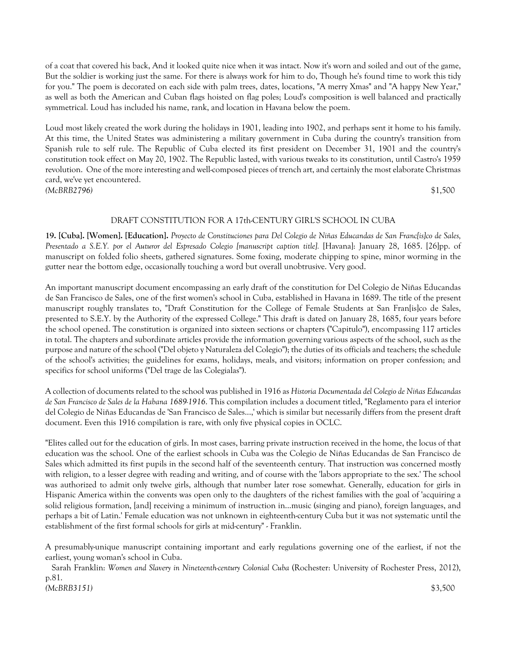of a coat that covered his back, And it looked quite nice when it was intact. Now it's worn and soiled and out of the game, But the soldier is working just the same. For there is always work for him to do, Though he's found time to work this tidy for you." The poem is decorated on each side with palm trees, dates, locations, "A merry Xmas" and "A happy New Year," as well as both the American and Cuban flags hoisted on flag poles; Loud's composition is well balanced and practically symmetrical. Loud has included his name, rank, and location in Havana below the poem.

Loud most likely created the work during the holidays in 1901, leading into 1902, and perhaps sent it home to his family. At this time, the United States was administering a military government in Cuba during the country's transition from Spanish rule to self rule. The Republic of Cuba elected its first president on December 31, 1901 and the country's constitution took effect on May 20, 1902. The Republic lasted, with various tweaks to its constitution, until Castro's 1959 revolution. One of the more interesting and well-composed pieces of trench art, and certainly the most elaborate Christmas card, we've yet encountered. *(McBRB2796)* \$1,500

# DRAFT CONSTITUTION FOR A 17th-CENTURY GIRL'S SCHOOL IN CUBA

**19. [Cuba]. [Women]. [Education].** *Proyecto de Constituciones para Del Colegio de Niñas Educandas de San Franc[is]co de Sales, Presentado a S.E.Y. por el Auturor del Espresado Colegio [manuscript caption title].* [Havana]: January 28, 1685. [26]pp. of manuscript on folded folio sheets, gathered signatures. Some foxing, moderate chipping to spine, minor worming in the gutter near the bottom edge, occasionally touching a word but overall unobtrusive. Very good.

An important manuscript document encompassing an early draft of the constitution for Del Colegio de Niñas Educandas de San Francisco de Sales, one of the first women's school in Cuba, established in Havana in 1689. The title of the present manuscript roughly translates to, "Draft Constitution for the College of Female Students at San Fran[is]co de Sales, presented to S.E.Y. by the Authority of the expressed College." This draft is dated on January 28, 1685, four years before the school opened. The constitution is organized into sixteen sections or chapters ("Capitulo"), encompassing 117 articles in total. The chapters and subordinate articles provide the information governing various aspects of the school, such as the purpose and nature of the school ("Del objeto y Naturaleza del Colegio"); the duties of its officials and teachers; the schedule of the school's activities; the guidelines for exams, holidays, meals, and visitors; information on proper confession; and specifics for school uniforms ("Del trage de las Colegialas").

A collection of documents related to the school was published in 1916 as *Historia Documentada del Colegio de Niñas Educandas de San Francisco de Sales de la Habana 1689-1916*. This compilation includes a document titled, "Reglamento para el interior del Colegio de Niñas Educandas de 'San Francisco de Sales...,' which is similar but necessarily differs from the present draft document. Even this 1916 compilation is rare, with only five physical copies in OCLC.

"Elites called out for the education of girls. In most cases, barring private instruction received in the home, the locus of that education was the school. One of the earliest schools in Cuba was the Colegio de Niñas Educandas de San Francisco de Sales which admitted its first pupils in the second half of the seventeenth century. That instruction was concerned mostly with religion, to a lesser degree with reading and writing, and of course with the 'labors appropriate to the sex.' The school was authorized to admit only twelve girls, although that number later rose somewhat. Generally, education for girls in Hispanic America within the convents was open only to the daughters of the richest families with the goal of 'acquiring a solid religious formation, [and] receiving a minimum of instruction in...music (singing and piano), foreign languages, and perhaps a bit of Latin.' Female education was not unknown in eighteenth-century Cuba but it was not systematic until the establishment of the first formal schools for girls at mid-century" - Franklin.

A presumably-unique manuscript containing important and early regulations governing one of the earliest, if not the earliest, young woman's school in Cuba.

 Sarah Franklin: *Women and Slavery in Nineteenth-century Colonial Cuba* (Rochester: University of Rochester Press, 2012), p.81.

*(McBRB3151)* \$3,500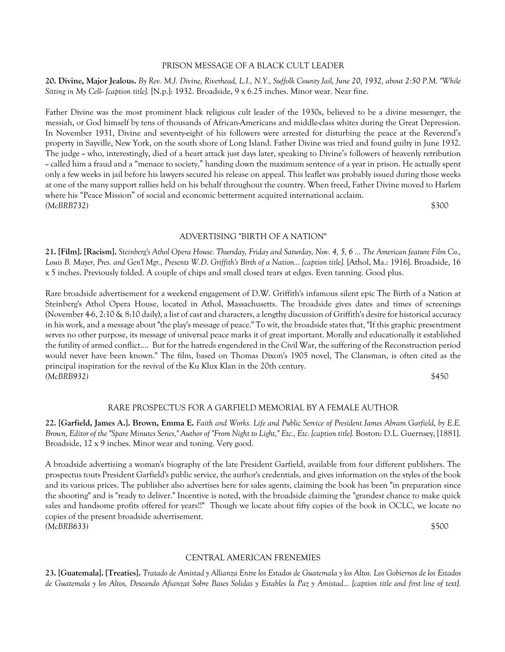# PRISON MESSAGE OF A BLACK CULT LEADER

**20. Divine, Major Jealous.** *By Rev. M.J. Divine, Riverhead, L.I., N.Y., Suffolk County Jail, June 20, 1932, about 2:50 P.M. "While Sitting in My Cell-- [caption title].* [N.p.]: 1932. Broadside, 9 x 6.25 inches. Minor wear. Near fine.

Father Divine was the most prominent black religious cult leader of the 1930s, believed to be a divine messenger, the messiah, or God himself by tens of thousands of African-Americans and middle-class whites during the Great Depression. In November 1931, Divine and seventy-eight of his followers were arrested for disturbing the peace at the Reverend's property in Sayville, New York, on the south shore of Long Island. Father Divine was tried and found guilty in June 1932. The judge - who, interestingly, died of a heart attack just days later, speaking to Divine's followers of heavenly retribution -- called him a fraud and a "menace to society," handing down the maximum sentence of a year in prison. He actually spent only a few weeks in jail before his lawyers secured his release on appeal. This leaflet was probably issued during those weeks at one of the many support rallies held on his behalf throughout the country. When freed, Father Divine moved to Harlem where his "Peace Mission" of social and economic betterment acquired international acclaim. *(McBRB732)* \$300

ADVERTISING "BIRTH OF A NATION"

**21. [Film]. [Racism].** *Steinberg's Athol Opera House. Thursday, Friday and Saturday, Nov. 4, 5, 6 ... The American feature Film Co., Louis B. Mayer, Pres. and Gen'l Mgr., Presents W.D. Griffith's Birth of a Nation... [caption title].* [Athol, Ma.: 1916]. Broadside, 16 x 5 inches. Previously folded. A couple of chips and small closed tears at edges. Even tanning. Good plus.

Rare broadside advertisement for a weekend engagement of D.W. Griffith's infamous silent epic The Birth of a Nation at Steinberg's Athol Opera House, located in Athol, Massachusetts. The broadside gives dates and times of screenings (November 4-6, 2:10 & 8:10 daily), a list of cast and characters, a lengthy discussion of Griffith's desire for historical accuracy in his work, and a message about "the play's message of peace." To wit, the broadside states that, "If this graphic presentment serves no other purpose, its message of universal peace marks it of great important. Morally and educationally it established the futility of armed conflict.... But for the hatreds engendered in the Civil War, the suffering of the Reconstruction period would never have been known." The film, based on Thomas Dixon's 1905 novel, The Clansman, is often cited as the principal inspiration for the revival of the Ku Klux Klan in the 20th century. *(McBRB932)* \$450

# RARE PROSPECTUS FOR A GARFIELD MEMORIAL BY A FEMALE AUTHOR

**22. [Garfield, James A.]. Brown, Emma E.** *Faith and Works. Life and Public Service of President James Abram Garfield, by E.E. Brown, Editor of the "Spare Minutes Series," Author of "From Night to Light," Etc., Etc. [caption title].* Boston: D.L. Guernsey, [1881]. Broadside, 12 x 9 inches. Minor wear and toning. Very good.

A broadside advertising a woman's biography of the late President Garfield, available from four different publishers. The prospectus touts President Garfield's public service, the author's credentials, and gives information on the styles of the book and its various prices. The publisher also advertises here for sales agents, claiming the book has been "in preparation since the shooting" and is "ready to deliver." Incentive is noted, with the broadside claiming the "grandest chance to make quick sales and handsome profits offered for years!!" Though we locate about fifty copies of the book in OCLC, we locate no copies of the present broadside advertisement. *(McBRB633)* \$500

## CENTRAL AMERICAN FRENEMIES

**23. [Guatemala]. [Treaties].** *Tratado de Amistad y Allianza Entre los Estados de Guatemala y los Altos. Los Gobiernos de los Estados de Guatemala y los Altos, Deseando Afianzat Sobre Bases Solidas y Estables la Paz y Amistad... [caption title and first line of text].*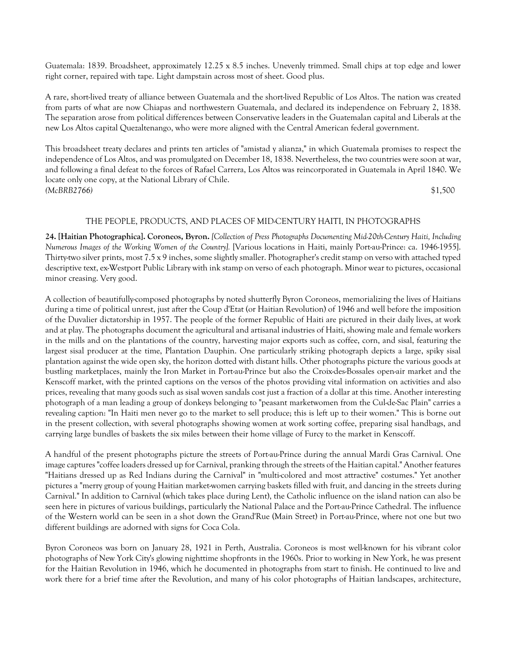Guatemala: 1839. Broadsheet, approximately 12.25 x 8.5 inches. Unevenly trimmed. Small chips at top edge and lower right corner, repaired with tape. Light dampstain across most of sheet. Good plus.

A rare, short-lived treaty of alliance between Guatemala and the short-lived Republic of Los Altos. The nation was created from parts of what are now Chiapas and northwestern Guatemala, and declared its independence on February 2, 1838. The separation arose from political differences between Conservative leaders in the Guatemalan capital and Liberals at the new Los Altos capital Quezaltenango, who were more aligned with the Central American federal government.

This broadsheet treaty declares and prints ten articles of "amistad y alianza," in which Guatemala promises to respect the independence of Los Altos, and was promulgated on December 18, 1838. Nevertheless, the two countries were soon at war, and following a final defeat to the forces of Rafael Carrera, Los Altos was reincorporated in Guatemala in April 1840. We locate only one copy, at the National Library of Chile. *(McBRB2766)* \$1,500

## THE PEOPLE, PRODUCTS, AND PLACES OF MID-CENTURY HAITI, IN PHOTOGRAPHS

**24. [Haitian Photographica]. Coroneos, Byron.** *[Collection of Press Photographs Documenting Mid-20th-Century Haiti, Including Numerous Images of the Working Women of the Country].* [Various locations in Haiti, mainly Port-au-Prince: ca. 1946-1955]. Thirty-two silver prints, most 7.5 x 9 inches, some slightly smaller. Photographer's credit stamp on verso with attached typed descriptive text, ex-Westport Public Library with ink stamp on verso of each photograph. Minor wear to pictures, occasional minor creasing. Very good.

A collection of beautifully-composed photographs by noted shutterfly Byron Coroneos, memorializing the lives of Haitians during a time of political unrest, just after the Coup d'Etat (or Haitian Revolution) of 1946 and well before the imposition of the Duvalier dictatorship in 1957. The people of the former Republic of Haiti are pictured in their daily lives, at work and at play. The photographs document the agricultural and artisanal industries of Haiti, showing male and female workers in the mills and on the plantations of the country, harvesting major exports such as coffee, corn, and sisal, featuring the largest sisal producer at the time, Plantation Dauphin. One particularly striking photograph depicts a large, spiky sisal plantation against the wide open sky, the horizon dotted with distant hills. Other photographs picture the various goods at bustling marketplaces, mainly the Iron Market in Port-au-Prince but also the Croix-des-Bossales open-air market and the Kenscoff market, with the printed captions on the versos of the photos providing vital information on activities and also prices, revealing that many goods such as sisal woven sandals cost just a fraction of a dollar at this time. Another interesting photograph of a man leading a group of donkeys belonging to "peasant marketwomen from the Cul-de-Sac Plain" carries a revealing caption: "In Haiti men never go to the market to sell produce; this is left up to their women." This is borne out in the present collection, with several photographs showing women at work sorting coffee, preparing sisal handbags, and carrying large bundles of baskets the six miles between their home village of Furcy to the market in Kenscoff.

A handful of the present photographs picture the streets of Port-au-Prince during the annual Mardi Gras Carnival. One image captures "coffee loaders dressed up for Carnival, pranking through the streets of the Haitian capital." Another features "Haitians dressed up as Red Indians during the Carnival" in "multi-colored and most attractive" costumes." Yet another pictures a "merry group of young Haitian market-women carrying baskets filled with fruit, and dancing in the streets during Carnival." In addition to Carnival (which takes place during Lent), the Catholic influence on the island nation can also be seen here in pictures of various buildings, particularly the National Palace and the Port-au-Prince Cathedral. The influence of the Western world can be seen in a shot down the Grand'Rue (Main Street) in Port-au-Prince, where not one but two different buildings are adorned with signs for Coca Cola.

Byron Coroneos was born on January 28, 1921 in Perth, Australia. Coroneos is most well-known for his vibrant color photographs of New York City's glowing nighttime shopfronts in the 1960s. Prior to working in New York, he was present for the Haitian Revolution in 1946, which he documented in photographs from start to finish. He continued to live and work there for a brief time after the Revolution, and many of his color photographs of Haitian landscapes, architecture,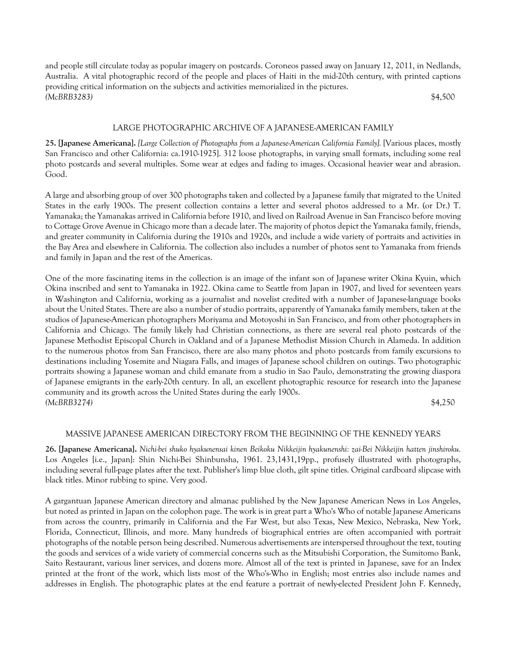and people still circulate today as popular imagery on postcards. Coroneos passed away on January 12, 2011, in Nedlands, Australia. A vital photographic record of the people and places of Haiti in the mid-20th century, with printed captions providing critical information on the subjects and activities memorialized in the pictures. *(McBRB3283)* \$4,500

# LARGE PHOTOGRAPHIC ARCHIVE OF A JAPANESE-AMERICAN FAMILY

**25. [Japanese Americana].** *[Large Collection of Photographs from a Japanese-American California Family].* [Various places, mostly San Francisco and other California: ca.1910-1925]. 312 loose photographs, in varying small formats, including some real photo postcards and several multiples. Some wear at edges and fading to images. Occasional heavier wear and abrasion. Good.

A large and absorbing group of over 300 photographs taken and collected by a Japanese family that migrated to the United States in the early 1900s. The present collection contains a letter and several photos addressed to a Mr. (or Dr.) T. Yamanaka; the Yamanakas arrived in California before 1910, and lived on Railroad Avenue in San Francisco before moving to Cottage Grove Avenue in Chicago more than a decade later. The majority of photos depict the Yamanaka family, friends, and greater community in California during the 1910s and 1920s, and include a wide variety of portraits and activities in the Bay Area and elsewhere in California. The collection also includes a number of photos sent to Yamanaka from friends and family in Japan and the rest of the Americas.

One of the more fascinating items in the collection is an image of the infant son of Japanese writer Okina Kyuin, which Okina inscribed and sent to Yamanaka in 1922. Okina came to Seattle from Japan in 1907, and lived for seventeen years in Washington and California, working as a journalist and novelist credited with a number of Japanese-language books about the United States. There are also a number of studio portraits, apparently of Yamanaka family members, taken at the studios of Japanese-American photographers Moriyama and Motoyoshi in San Francisco, and from other photographers in California and Chicago. The family likely had Christian connections, as there are several real photo postcards of the Japanese Methodist Episcopal Church in Oakland and of a Japanese Methodist Mission Church in Alameda. In addition to the numerous photos from San Francisco, there are also many photos and photo postcards from family excursions to destinations including Yosemite and Niagara Falls, and images of Japanese school children on outings. Two photographic portraits showing a Japanese woman and child emanate from a studio in Sao Paulo, demonstrating the growing diaspora of Japanese emigrants in the early-20th century. In all, an excellent photographic resource for research into the Japanese community and its growth across the United States during the early 1900s. *(McBRB3274)* \$4,250

# MASSIVE JAPANESE AMERICAN DIRECTORY FROM THE BEGINNING OF THE KENNEDY YEARS

**26. [Japanese Americana].** *Nichi-bei shuko hyakunensai kinen Beikoku Nikkeijin hyakunenshi: zai-Bei Nikkeijin hatten jinshiroku.* Los Angeles [i.e., Japan]: Shin Nichi-Bei Shinbunsha, 1961. 23,1431,19pp., profusely illustrated with photographs, including several full-page plates after the text. Publisher's limp blue cloth, gilt spine titles. Original cardboard slipcase with black titles. Minor rubbing to spine. Very good.

A gargantuan Japanese American directory and almanac published by the New Japanese American News in Los Angeles, but noted as printed in Japan on the colophon page. The work is in great part a Who's Who of notable Japanese Americans from across the country, primarily in California and the Far West, but also Texas, New Mexico, Nebraska, New York, Florida, Connecticut, Illinois, and more. Many hundreds of biographical entries are often accompanied with portrait photographs of the notable person being described. Numerous advertisements are interspersed throughout the text, touting the goods and services of a wide variety of commercial concerns such as the Mitsubishi Corporation, the Sumitomo Bank, Saito Restaurant, various liner services, and dozens more. Almost all of the text is printed in Japanese, save for an Index printed at the front of the work, which lists most of the Who's-Who in English; most entries also include names and addresses in English. The photographic plates at the end feature a portrait of newly-elected President John F. Kennedy,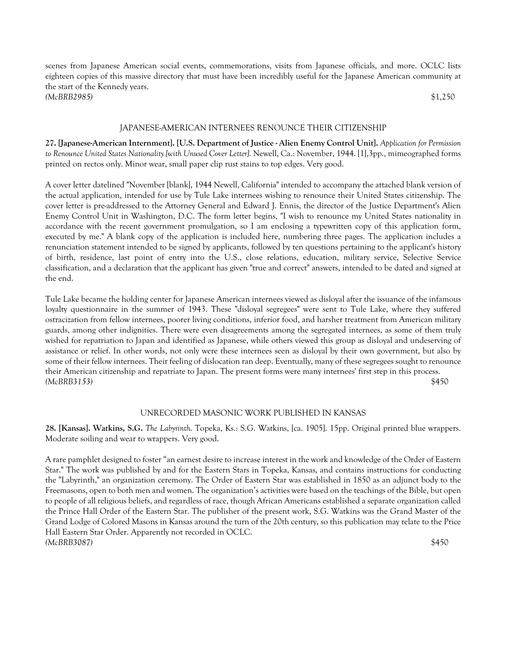scenes from Japanese American social events, commemorations, visits from Japanese officials, and more. OCLC lists eighteen copies of this massive directory that must have been incredibly useful for the Japanese American community at the start of the Kennedy years. *(McBRB2985)* \$1,250

#### JAPANESE-AMERICAN INTERNEES RENOUNCE THEIR CITIZENSHIP

**27. [Japanese-American Internment]. [U.S. Department of Justice - Alien Enemy Control Unit].** *Application for Permission to Renounce United States Nationality [with Unused Cover Letter].* Newell, Ca.: November, 1944. [1],3pp., mimeographed forms printed on rectos only. Minor wear, small paper clip rust stains to top edges. Very good.

A cover letter datelined "November [blank], 1944 Newell, California" intended to accompany the attached blank version of the actual application, intended for use by Tule Lake internees wishing to renounce their United States citizenship. The cover letter is pre-addressed to the Attorney General and Edward J. Ennis, the director of the Justice Department's Alien Enemy Control Unit in Washington, D.C. The form letter begins, "I wish to renounce my United States nationality in accordance with the recent government promulgation, so I am enclosing a typewritten copy of this application form, executed by me." A blank copy of the application is included here, numbering three pages. The application includes a renunciation statement intended to be signed by applicants, followed by ten questions pertaining to the applicant's history of birth, residence, last point of entry into the U.S., close relations, education, military service, Selective Service classification, and a declaration that the applicant has given "true and correct" answers, intended to be dated and signed at the end.

Tule Lake became the holding center for Japanese American internees viewed as disloyal after the issuance of the infamous loyalty questionnaire in the summer of 1943. These "disloyal segregees" were sent to Tule Lake, where they suffered ostracization from fellow internees, poorer living conditions, inferior food, and harsher treatment from American military guards, among other indignities. There were even disagreements among the segregated internees, as some of them truly wished for repatriation to Japan and identified as Japanese, while others viewed this group as disloyal and undeserving of assistance or relief. In other words, not only were these internees seen as disloyal by their own government, but also by some of their fellow internees. Their feeling of dislocation ran deep. Eventually, many of these segregees sought to renounce their American citizenship and repatriate to Japan. The present forms were many internees' first step in this process. *(McBRB3153)* \$450

# UNRECORDED MASONIC WORK PUBLISHED IN KANSAS

**28. [Kansas]. Watkins, S.G.** *The Labyrinth*. Topeka, Ks.: S.G. Watkins, [ca. 1905]. 15pp. Original printed blue wrappers. Moderate soiling and wear to wrappers. Very good.

A rare pamphlet designed to foster "an earnest desire to increase interest in the work and knowledge of the Order of Eastern Star." The work was published by and for the Eastern Stars in Topeka, Kansas, and contains instructions for conducting the "Labyrinth," an organization ceremony. The Order of Eastern Star was established in 1850 as an adjunct body to the Freemasons, open to both men and women. The organization's activities were based on the teachings of the Bible, but open to people of all religious beliefs, and regardless of race, though African Americans established a separate organization called the Prince Hall Order of the Eastern Star. The publisher of the present work, S.G. Watkins was the Grand Master of the Grand Lodge of Colored Masons in Kansas around the turn of the 20th century, so this publication may relate to the Price Hall Eastern Star Order. Apparently not recorded in OCLC. *(McBRB3087)* \$450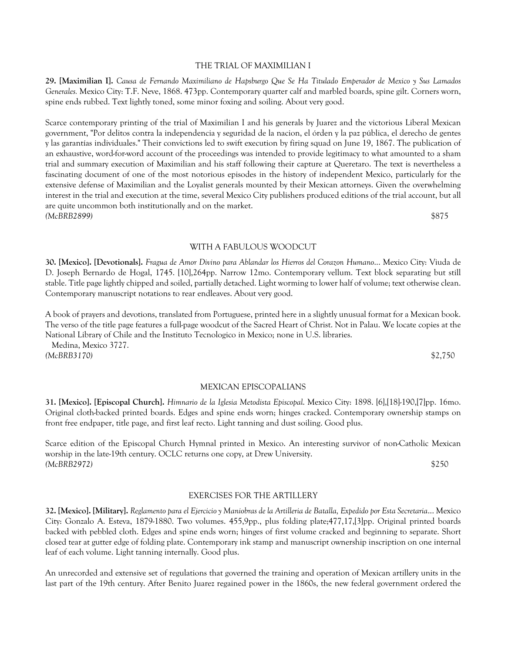#### THE TRIAL OF MAXIMILIAN I

**29. [Maximilian I].** *Causa de Fernando Maximiliano de Hapsburgo Que Se Ha Titulado Emperador de Mexico y Sus Lamados Generales.* Mexico City: T.F. Neve, 1868. 473pp. Contemporary quarter calf and marbled boards, spine gilt. Corners worn, spine ends rubbed. Text lightly toned, some minor foxing and soiling. About very good.

Scarce contemporary printing of the trial of Maximilian I and his generals by Juarez and the victorious Liberal Mexican government, "Por delitos contra la independencia y seguridad de la nacion, el órden y la paz pública, el derecho de gentes y las garantías individuales." Their convictions led to swift execution by firing squad on June 19, 1867. The publication of an exhaustive, word-for-word account of the proceedings was intended to provide legitimacy to what amounted to a sham trial and summary execution of Maximilian and his staff following their capture at Queretaro. The text is nevertheless a fascinating document of one of the most notorious episodes in the history of independent Mexico, particularly for the extensive defense of Maximilian and the Loyalist generals mounted by their Mexican attorneys. Given the overwhelming interest in the trial and execution at the time, several Mexico City publishers produced editions of the trial account, but all are quite uncommon both institutionally and on the market. *(McBRB2899)* \$875

WITH A FABULOUS WOODCUT

**30. [Mexico]. [Devotionals].** *Fragua de Amor Divino para Ablandar los Hierros del Corazon Humano*... Mexico City: Viuda de D. Joseph Bernardo de Hogal, 1745. [10],264pp. Narrow 12mo. Contemporary vellum. Text block separating but still stable. Title page lightly chipped and soiled, partially detached. Light worming to lower half of volume; text otherwise clean. Contemporary manuscript notations to rear endleaves. About very good.

A book of prayers and devotions, translated from Portuguese, printed here in a slightly unusual format for a Mexican book. The verso of the title page features a full-page woodcut of the Sacred Heart of Christ. Not in Palau. We locate copies at the National Library of Chile and the Instituto Tecnologico in Mexico; none in U.S. libraries.

 Medina, Mexico 3727. *(McBRB3170)* \$2,750

#### MEXICAN EPISCOPALIANS

**31. [Mexico]. [Episcopal Church].** *Himnario de la Iglesia Metodista Episcopal*. Mexico City: 1898. [6],[18]-190,[7]pp. 16mo. Original cloth-backed printed boards. Edges and spine ends worn; hinges cracked. Contemporary ownership stamps on front free endpaper, title page, and first leaf recto. Light tanning and dust soiling. Good plus.

Scarce edition of the Episcopal Church Hymnal printed in Mexico. An interesting survivor of non-Catholic Mexican worship in the late-19th century. OCLC returns one copy, at Drew University. *(McBRB2972)* \$250

# EXERCISES FOR THE ARTILLERY

**32. [Mexico]. [Military].** *Reglamento para el Ejercicio y Maniobras de la Artilleria de Batalla, Expedido por Esta Secretaria*... Mexico City: Gonzalo A. Esteva, 1879-1880. Two volumes. 455,9pp., plus folding plate;477,17,[3]pp. Original printed boards backed with pebbled cloth. Edges and spine ends worn; hinges of first volume cracked and beginning to separate. Short closed tear at gutter edge of folding plate. Contemporary ink stamp and manuscript ownership inscription on one internal leaf of each volume. Light tanning internally. Good plus.

An unrecorded and extensive set of regulations that governed the training and operation of Mexican artillery units in the last part of the 19th century. After Benito Juarez regained power in the 1860s, the new federal government ordered the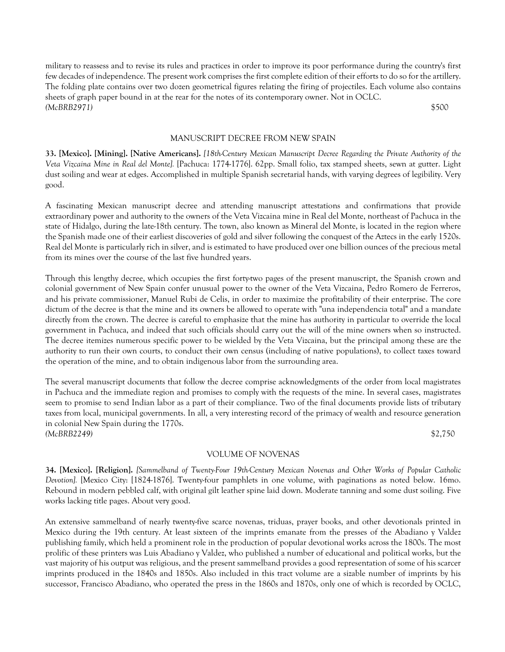military to reassess and to revise its rules and practices in order to improve its poor performance during the country's first few decades of independence. The present work comprises the first complete edition of their efforts to do so for the artillery. The folding plate contains over two dozen geometrical figures relating the firing of projectiles. Each volume also contains sheets of graph paper bound in at the rear for the notes of its contemporary owner. Not in OCLC. *(McBRB2971)* \$500

#### MANUSCRIPT DECREE FROM NEW SPAIN

**33. [Mexico]. [Mining]. [Native Americans].** *[18th-Century Mexican Manuscript Decree Regarding the Private Authority of the Veta Vizcaina Mine in Real del Monte].* [Pachuca: 1774-1776]. 62pp. Small folio, tax stamped sheets, sewn at gutter. Light dust soiling and wear at edges. Accomplished in multiple Spanish secretarial hands, with varying degrees of legibility. Very good.

A fascinating Mexican manuscript decree and attending manuscript attestations and confirmations that provide extraordinary power and authority to the owners of the Veta Vizcaina mine in Real del Monte, northeast of Pachuca in the state of Hidalgo, during the late-18th century. The town, also known as Mineral del Monte, is located in the region where the Spanish made one of their earliest discoveries of gold and silver following the conquest of the Aztecs in the early 1520s. Real del Monte is particularly rich in silver, and is estimated to have produced over one billion ounces of the precious metal from its mines over the course of the last five hundred years.

Through this lengthy decree, which occupies the first forty-two pages of the present manuscript, the Spanish crown and colonial government of New Spain confer unusual power to the owner of the Veta Vizcaina, Pedro Romero de Ferreros, and his private commissioner, Manuel Rubi de Celis, in order to maximize the profitability of their enterprise. The core dictum of the decree is that the mine and its owners be allowed to operate with "una independencia total" and a mandate directly from the crown. The decree is careful to emphasize that the mine has authority in particular to override the local government in Pachuca, and indeed that such officials should carry out the will of the mine owners when so instructed. The decree itemizes numerous specific power to be wielded by the Veta Vizcaina, but the principal among these are the authority to run their own courts, to conduct their own census (including of native populations), to collect taxes toward the operation of the mine, and to obtain indigenous labor from the surrounding area.

The several manuscript documents that follow the decree comprise acknowledgments of the order from local magistrates in Pachuca and the immediate region and promises to comply with the requests of the mine. In several cases, magistrates seem to promise to send Indian labor as a part of their compliance. Two of the final documents provide lists of tributary taxes from local, municipal governments. In all, a very interesting record of the primacy of wealth and resource generation in colonial New Spain during the 1770s. *(McBRB2249)* \$2,750

## VOLUME OF NOVENAS

**34. [Mexico]. [Religion].** *[Sammelband of Twenty-Four 19th-Century Mexican Novenas and Other Works of Popular Catholic Devotion].* [Mexico City: [1824-1876]. Twenty-four pamphlets in one volume, with paginations as noted below. 16mo. Rebound in modern pebbled calf, with original gilt leather spine laid down. Moderate tanning and some dust soiling. Five works lacking title pages. About very good.

An extensive sammelband of nearly twenty-five scarce novenas, triduas, prayer books, and other devotionals printed in Mexico during the 19th century. At least sixteen of the imprints emanate from the presses of the Abadiano y Valdez publishing family, which held a prominent role in the production of popular devotional works across the 1800s. The most prolific of these printers was Luis Abadiano y Valdez, who published a number of educational and political works, but the vast majority of his output was religious, and the present sammelband provides a good representation of some of his scarcer imprints produced in the 1840s and 1850s. Also included in this tract volume are a sizable number of imprints by his successor, Francisco Abadiano, who operated the press in the 1860s and 1870s, only one of which is recorded by OCLC,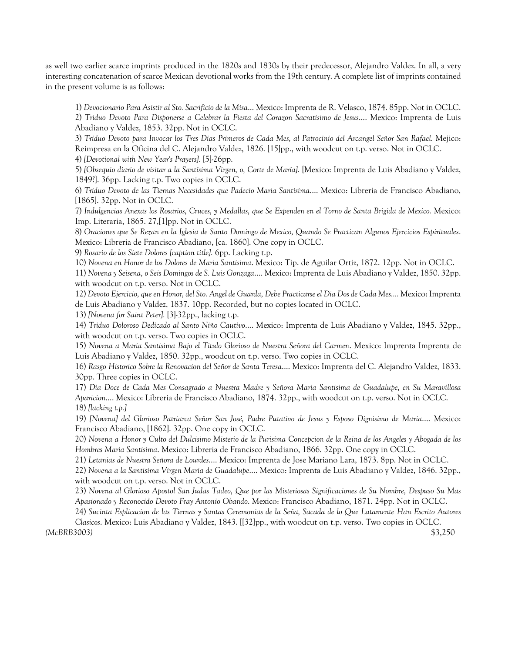as well two earlier scarce imprints produced in the 1820s and 1830s by their predecessor, Alejandro Valdez. In all, a very interesting concatenation of scarce Mexican devotional works from the 19th century. A complete list of imprints contained in the present volume is as follows:

1) *Devocionario Para Asistir al Sto. Sacrificio de la Misa*... Mexico: Imprenta de R. Velasco, 1874. 85pp. Not in OCLC. 2) *Triduo Devoto Para Disponerse a Celebrar la Fiesta del Corazon Sacratisimo de Jesus*.... Mexico: Imprenta de Luis Abadiano y Valdez, 1853. 32pp. Not in OCLC.

3) *Triduo Devoto para Invocar los Tres Dias Primeros de Cada Mes, al Patrocinio del Arcangel Señor San Rafael.* Mejico: Reimpresa en la Oficina del C. Alejandro Valdez, 1826. [15]pp., with woodcut on t.p. verso. Not in OCLC. 4) *[Devotional with New Year's Prayers].* [5]-26pp.

5) *[Obsequio diario de visitar a la Santísima Virgen, o, Corte de María].* [Mexico: Imprenta de Luis Abadiano y Valdez, 1849?]. 36pp. Lacking t.p. Two copies in OCLC.

6) *Triduo Devoto de las Tiernas Necesidades que Padecio Maria Santisima*.... Mexico: Libreria de Francisco Abadiano, [1865]. 32pp. Not in OCLC.

7) *Indulgencias Anexas los Rosarios, Cruces, y Medallas, que Se Expenden en el Torno de Santa Brigida de Mexico.* Mexico: Imp. Literaria, 1865. 27,[1]pp. Not in OCLC.

8) *Oraciones que Se Rezan en la Iglesia de Santo Domingo de Mexico, Quando Se Practican Algunos Ejercicios Espirituales*. Mexico: Libreria de Francisco Abadiano, [ca. 1860]. One copy in OCLC.

9) *Rosario de los Siete Dolores [caption title].* 6pp. Lacking t.p.

10) *Novena en Honor de los Dolores de Maria Santisima*. Mexico: Tip. de Aguilar Ortiz, 1872. 12pp. Not in OCLC.

11) *Novena y Seisena, o Seis Domingos de S. Luis Gonzaga*.... Mexico: Imprenta de Luis Abadiano y Valdez, 1850. 32pp. with woodcut on t.p. verso. Not in OCLC.

12) *Devoto Ejercicio, que en Honor, del Sto. Angel de Guarda, Debe Practicarse el Dia Dos de Cada Mes....* Mexico: Imprenta de Luis Abadiano y Valdez, 1837. 10pp. Recorded, but no copies located in OCLC.

13) *[Novena for Saint Peter].* [3]-32pp., lacking t.p.

14) *Triduo Doloroso Dedicado al Santo Niño Cautivo*.... Mexico: Imprenta de Luis Abadiano y Valdez, 1845. 32pp., with woodcut on t.p. verso. Two copies in OCLC.

15) *Novena a Maria Santisima Bajo el Titulo Glorioso de Nuestra Señora del Carmen*. Mexico: Imprenta Imprenta de Luis Abadiano y Valdez, 1850. 32pp., woodcut on t.p. verso. Two copies in OCLC.

16) *Rasgo Historico Sobre la Renovacion del Señor de Santa Teresa*.... Mexico: Imprenta del C. Alejandro Valdez, 1833. 30pp. Three copies in OCLC.

17) *Dia Doce de Cada Mes Consagrado a Nuestra Madre y Señora Maria Santisima de Guadalupe, en Su Maravillosa Aparicion*.... Mexico: Libreria de Francisco Abadiano, 1874. 32pp., with woodcut on t.p. verso. Not in OCLC. 18) *[lacking t.p.]*

19) *[Novena] del Glorioso Patriarca Señor San José, Padre Putativo de Jesus y Esposo Dignisimo de Maria*.... Mexico: Francisco Abadiano, [1862]. 32pp. One copy in OCLC.

20) *Novena a Honor y Culto del Dulcisimo Misterio de la Purisima Concepcion de la Reina de los Angeles y Abogada de los Hombres Maria Santisima*. Mexico: Libreria de Francisco Abadiano, 1866. 32pp. One copy in OCLC.

21) *Letanias de Nuestra Señora de Lourdes*.... Mexico: Imprenta de Jose Mariano Lara, 1873. 8pp. Not in OCLC.

22) *Novena a la Santisima Virgen Maria de Guadalupe*.... Mexico: Imprenta de Luis Abadiano y Valdez, 1846. 32pp., with woodcut on t.p. verso. Not in OCLC.

23) *Novena al Glorioso Apostol San Judas Tadeo, Que por las Misteriosas Significaciones de Su Nombre, Despuso Su Mas Apasionado y Reconocido Devoto Fray Antonio Obando*. Mexico: Francisco Abadiano, 1871. 24pp. Not in OCLC. 24) *Sucinta Esplicacion de las Tiernas y Santas Ceremonias de la Seña, Sacada de lo Que Latamente Han Escrito Autores* 

*Clasicos*. Mexico: Luis Abadiano y Valdez, 1843. [[32]pp., with woodcut on t.p. verso. Two copies in OCLC. *(McBRB3003)* \$3,250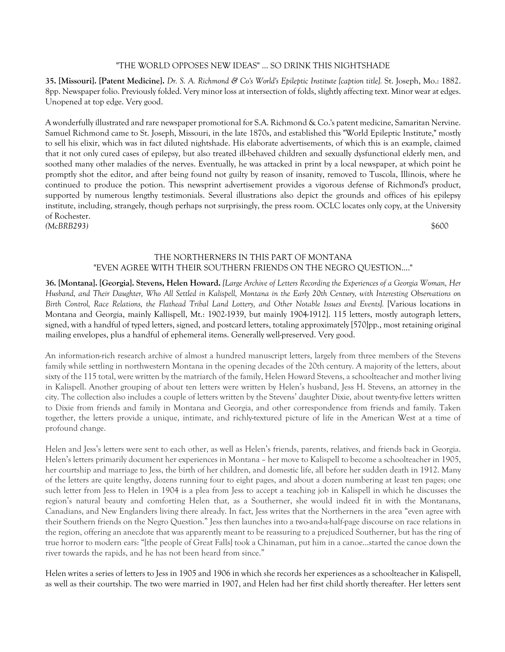# "THE WORLD OPPOSES NEW IDEAS" ... SO DRINK THIS NIGHTSHADE

**35. [Missouri]. [Patent Medicine].** *Dr. S. A. Richmond & Co's World's Epileptic Institute [caption title].* St. Joseph, Mo.: 1882. 8pp. Newspaper folio. Previously folded. Very minor loss at intersection of folds, slightly affecting text. Minor wear at edges. Unopened at top edge. Very good.

A wonderfully illustrated and rare newspaper promotional for S.A. Richmond & Co.'s patent medicine, Samaritan Nervine. Samuel Richmond came to St. Joseph, Missouri, in the late 1870s, and established this "World Epileptic Institute," mostly to sell his elixir, which was in fact diluted nightshade. His elaborate advertisements, of which this is an example, claimed that it not only cured cases of epilepsy, but also treated ill-behaved children and sexually dysfunctional elderly men, and soothed many other maladies of the nerves. Eventually, he was attacked in print by a local newspaper, at which point he promptly shot the editor, and after being found not guilty by reason of insanity, removed to Tuscola, Illinois, where he continued to produce the potion. This newsprint advertisement provides a vigorous defense of Richmond's product, supported by numerous lengthy testimonials. Several illustrations also depict the grounds and offices of his epilepsy institute, including, strangely, though perhaps not surprisingly, the press room. OCLC locates only copy, at the University of Rochester. *(McBRB293)* \$600

# THE NORTHERNERS IN THIS PART OF MONTANA "EVEN AGREE WITH THEIR SOUTHERN FRIENDS ON THE NEGRO QUESTION...."

**36. [Montana]. [Georgia]. Stevens, Helen Howard.** *[Large Archive of Letters Recording the Experiences of a Georgia Woman, Her Husband, and Their Daughter, Who All Settled in Kalispell, Montana in the Early 20th Century, with Interesting Observations on Birth Control, Race Relations, the Flathead Tribal Land Lottery, and Other Notable Issues and Events].* [Various locations in Montana and Georgia, mainly Kallispell, Mt.: 1902-1939, but mainly 1904-1912]. 115 letters, mostly autograph letters, signed, with a handful of typed letters, signed, and postcard letters, totaling approximately [570]pp., most retaining original mailing envelopes, plus a handful of ephemeral items. Generally well-preserved. Very good.

An information-rich research archive of almost a hundred manuscript letters, largely from three members of the Stevens family while settling in northwestern Montana in the opening decades of the 20th century. A majority of the letters, about sixty of the 115 total, were written by the matriarch of the family, Helen Howard Stevens, a schoolteacher and mother living in Kalispell. Another grouping of about ten letters were written by Helen's husband, Jess H. Stevens, an attorney in the city. The collection also includes a couple of letters written by the Stevens' daughter Dixie, about twenty-five letters written to Dixie from friends and family in Montana and Georgia, and other correspondence from friends and family. Taken together, the letters provide a unique, intimate, and richly-textured picture of life in the American West at a time of profound change.

Helen and Jess's letters were sent to each other, as well as Helen's friends, parents, relatives, and friends back in Georgia. Helen's letters primarily document her experiences in Montana – her move to Kalispell to become a schoolteacher in 1905, her courtship and marriage to Jess, the birth of her children, and domestic life, all before her sudden death in 1912. Many of the letters are quite lengthy, dozens running four to eight pages, and about a dozen numbering at least ten pages; one such letter from Jess to Helen in 1904 is a plea from Jess to accept a teaching job in Kalispell in which he discusses the region's natural beauty and comforting Helen that, as a Southerner, she would indeed fit in with the Montanans, Canadians, and New Englanders living there already. In fact, Jess writes that the Northerners in the area "even agree with their Southern friends on the Negro Question." Jess then launches into a two-and-a-half-page discourse on race relations in the region, offering an anecdote that was apparently meant to be reassuring to a prejudiced Southerner, but has the ring of true horror to modern ears: "[the people of Great Falls] took a Chinaman, put him in a canoe…started the canoe down the river towards the rapids, and he has not been heard from since."

Helen writes a series of letters to Jess in 1905 and 1906 in which she records her experiences as a schoolteacher in Kalispell, as well as their courtship. The two were married in 1907, and Helen had her first child shortly thereafter. Her letters sent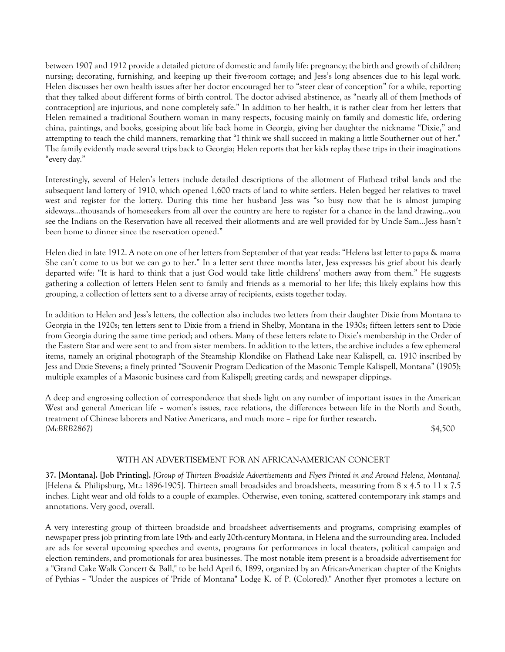between 1907 and 1912 provide a detailed picture of domestic and family life: pregnancy; the birth and growth of children; nursing; decorating, furnishing, and keeping up their five-room cottage; and Jess's long absences due to his legal work. Helen discusses her own health issues after her doctor encouraged her to "steer clear of conception" for a while, reporting that they talked about different forms of birth control. The doctor advised abstinence, as "nearly all of them [methods of contraception] are injurious, and none completely safe." In addition to her health, it is rather clear from her letters that Helen remained a traditional Southern woman in many respects, focusing mainly on family and domestic life, ordering china, paintings, and books, gossiping about life back home in Georgia, giving her daughter the nickname "Dixie," and attempting to teach the child manners, remarking that "I think we shall succeed in making a little Southerner out of her." The family evidently made several trips back to Georgia; Helen reports that her kids replay these trips in their imaginations "every day."

Interestingly, several of Helen's letters include detailed descriptions of the allotment of Flathead tribal lands and the subsequent land lottery of 1910, which opened 1,600 tracts of land to white settlers. Helen begged her relatives to travel west and register for the lottery. During this time her husband Jess was "so busy now that he is almost jumping sideways…thousands of homeseekers from all over the country are here to register for a chance in the land drawing…you see the Indians on the Reservation have all received their allotments and are well provided for by Uncle Sam…Jess hasn't been home to dinner since the reservation opened."

Helen died in late 1912. A note on one of her letters from September of that year reads: "Helens last letter to papa & mama She can't come to us but we can go to her." In a letter sent three months later, Jess expresses his grief about his dearly departed wife: "It is hard to think that a just God would take little childrens' mothers away from them." He suggests gathering a collection of letters Helen sent to family and friends as a memorial to her life; this likely explains how this grouping, a collection of letters sent to a diverse array of recipients, exists together today.

In addition to Helen and Jess's letters, the collection also includes two letters from their daughter Dixie from Montana to Georgia in the 1920s; ten letters sent to Dixie from a friend in Shelby, Montana in the 1930s; fifteen letters sent to Dixie from Georgia during the same time period; and others. Many of these letters relate to Dixie's membership in the Order of the Eastern Star and were sent to and from sister members. In addition to the letters, the archive includes a few ephemeral items, namely an original photograph of the Steamship Klondike on Flathead Lake near Kalispell, ca. 1910 inscribed by Jess and Dixie Stevens; a finely printed "Souvenir Program Dedication of the Masonic Temple Kalispell, Montana" (1905); multiple examples of a Masonic business card from Kalispell; greeting cards; and newspaper clippings.

A deep and engrossing collection of correspondence that sheds light on any number of important issues in the American West and general American life – women's issues, race relations, the differences between life in the North and South, treatment of Chinese laborers and Native Americans, and much more – ripe for further research. *(McBRB2867)* \$4,500

# WITH AN ADVERTISEMENT FOR AN AFRICAN-AMERICAN CONCERT

**37. [Montana]. [Job Printing].** *[Group of Thirteen Broadside Advertisements and Flyers Printed in and Around Helena, Montana].* [Helena & Philipsburg, Mt.: 1896-1905]. Thirteen small broadsides and broadsheets, measuring from 8 x 4.5 to 11 x 7.5 inches. Light wear and old folds to a couple of examples. Otherwise, even toning, scattered contemporary ink stamps and annotations. Very good, overall.

A very interesting group of thirteen broadside and broadsheet advertisements and programs, comprising examples of newspaper press job printing from late 19th- and early 20th-century Montana, in Helena and the surrounding area. Included are ads for several upcoming speeches and events, programs for performances in local theaters, political campaign and election reminders, and promotionals for area businesses. The most notable item present is a broadside advertisement for a "Grand Cake Walk Concert & Ball," to be held April 6, 1899, organized by an African-American chapter of the Knights of Pythias -- "Under the auspices of 'Pride of Montana" Lodge K. of P. (Colored)." Another flyer promotes a lecture on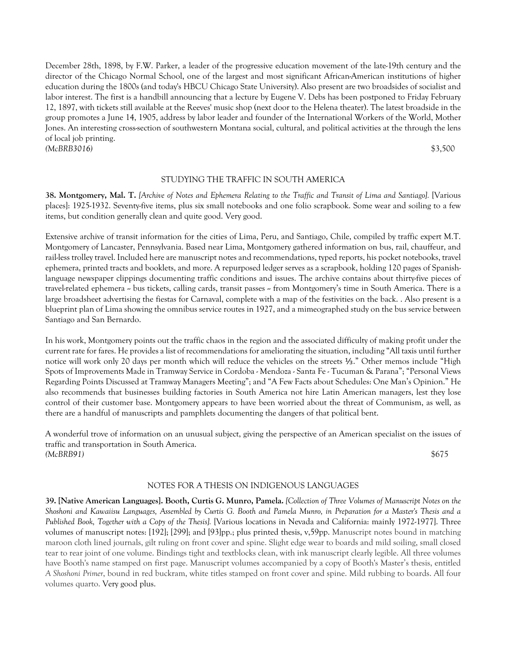December 28th, 1898, by F.W. Parker, a leader of the progressive education movement of the late-19th century and the director of the Chicago Normal School, one of the largest and most significant African-American institutions of higher education during the 1800s (and today's HBCU Chicago State University). Also present are two broadsides of socialist and labor interest. The first is a handbill announcing that a lecture by Eugene V. Debs has been postponed to Friday February 12, 1897, with tickets still available at the Reeves' music shop (next door to the Helena theater). The latest broadside in the group promotes a June 14, 1905, address by labor leader and founder of the International Workers of the World, Mother Jones. An interesting cross-section of southwestern Montana social, cultural, and political activities at the through the lens of local job printing. *(McBRB3016)* \$3,500

#### STUDYING THE TRAFFIC IN SOUTH AMERICA

**38. Montgomery, Mal. T.** *[Archive of Notes and Ephemera Relating to the Traffic and Transit of Lima and Santiago].* [Various places]: 1925-1932. Seventy-five items, plus six small notebooks and one folio scrapbook. Some wear and soiling to a few items, but condition generally clean and quite good. Very good.

Extensive archive of transit information for the cities of Lima, Peru, and Santiago, Chile, compiled by traffic expert M.T. Montgomery of Lancaster, Pennsylvania. Based near Lima, Montgomery gathered information on bus, rail, chauffeur, and rail-less trolley travel. Included here are manuscript notes and recommendations, typed reports, his pocket notebooks, travel ephemera, printed tracts and booklets, and more. A repurposed ledger serves as a scrapbook, holding 120 pages of Spanishlanguage newspaper clippings documenting traffic conditions and issues. The archive contains about thirty-five pieces of travel-related ephemera -- bus tickets, calling cards, transit passes -- from Montgomery's time in South America. There is a large broadsheet advertising the fiestas for Carnaval, complete with a map of the festivities on the back. . Also present is a blueprint plan of Lima showing the omnibus service routes in 1927, and a mimeographed study on the bus service between Santiago and San Bernardo.

In his work, Montgomery points out the traffic chaos in the region and the associated difficulty of making profit under the current rate for fares. He provides a list of recommendations for ameliorating the situation, including "All taxis until further notice will work only 20 days per month which will reduce the vehicles on the streets ⅓." Other memos include "High Spots of Improvements Made in Tramway Service in Cordoba - Mendoza - Santa Fe - Tucuman & Parana"; "Personal Views Regarding Points Discussed at Tramway Managers Meeting"; and "A Few Facts about Schedules: One Man's Opinion." He also recommends that businesses building factories in South America not hire Latin American managers, lest they lose control of their customer base. Montgomery appears to have been worried about the threat of Communism, as well, as there are a handful of manuscripts and pamphlets documenting the dangers of that political bent.

A wonderful trove of information on an unusual subject, giving the perspective of an American specialist on the issues of traffic and transportation in South America. *(McBRB91)* \$675

## NOTES FOR A THESIS ON INDIGENOUS LANGUAGES

**39. [Native American Languages]. Booth, Curtis G. Munro, Pamela.** *[Collection of Three Volumes of Manuscript Notes on the Shoshoni and Kawaiisu Languages, Assembled by Curtis G. Booth and Pamela Munro, in Preparation for a Master's Thesis and a Published Book, Together with a Copy of the Thesis].* [Various locations in Nevada and California: mainly 1972-1977]. Three volumes of manuscript notes: [192]; [299]; and [93]pp.; plus printed thesis, v,59pp. Manuscript notes bound in matching maroon cloth lined journals, gilt ruling on front cover and spine. Slight edge wear to boards and mild soiling, small closed tear to rear joint of one volume. Bindings tight and textblocks clean, with ink manuscript clearly legible. All three volumes have Booth's name stamped on first page. Manuscript volumes accompanied by a copy of Booth's Master's thesis, entitled *A Shoshoni Primer*, bound in red buckram, white titles stamped on front cover and spine. Mild rubbing to boards. All four volumes quarto. Very good plus.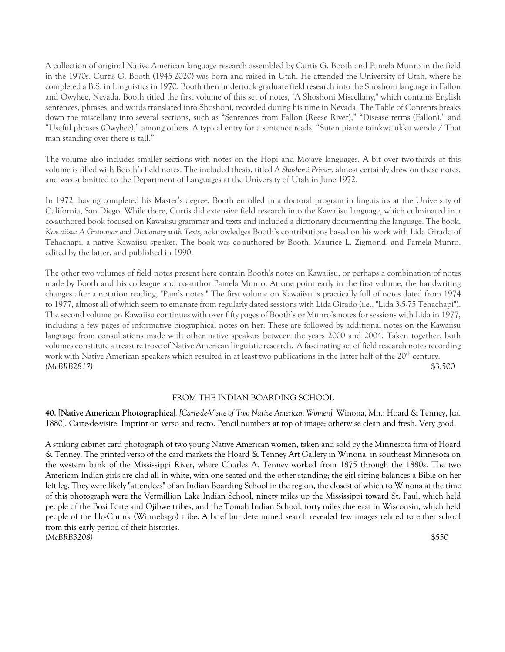A collection of original Native American language research assembled by Curtis G. Booth and Pamela Munro in the field in the 1970s. Curtis G. Booth (1945-2020) was born and raised in Utah. He attended the University of Utah, where he completed a B.S. in Linguistics in 1970. Booth then undertook graduate field research into the Shoshoni language in Fallon and Owyhee, Nevada. Booth titled the first volume of this set of notes, "A Shoshoni Miscellany," which contains English sentences, phrases, and words translated into Shoshoni, recorded during his time in Nevada. The Table of Contents breaks down the miscellany into several sections, such as "Sentences from Fallon (Reese River)," "Disease terms (Fallon)," and "Useful phrases (Owyhee)," among others. A typical entry for a sentence reads, "Suten piante tainkwa ukku wende / That man standing over there is tall."

The volume also includes smaller sections with notes on the Hopi and Mojave languages. A bit over two-thirds of this volume is filled with Booth's field notes. The included thesis, titled *A Shoshoni Primer*, almost certainly drew on these notes, and was submitted to the Department of Languages at the University of Utah in June 1972.

In 1972, having completed his Master's degree, Booth enrolled in a doctoral program in linguistics at the University of California, San Diego. While there, Curtis did extensive field research into the Kawaiisu language, which culminated in a co-authored book focused on Kawaiisu grammar and texts and included a dictionary documenting the language. The book, *Kawaiisu: A Grammar and Dictionary with Texts,* acknowledges Booth's contributions based on his work with Lida Girado of Tehachapi, a native Kawaiisu speaker. The book was co-authored by Booth, Maurice L. Zigmond, and Pamela Munro, edited by the latter, and published in 1990.

The other two volumes of field notes present here contain Booth's notes on Kawaiisu, or perhaps a combination of notes made by Booth and his colleague and co-author Pamela Munro. At one point early in the first volume, the handwriting changes after a notation reading, "Pam's notes." The first volume on Kawaiisu is practically full of notes dated from 1974 to 1977, almost all of which seem to emanate from regularly dated sessions with Lida Girado (i.e., "Lida 3-5-75 Tehachapi"). The second volume on Kawaiisu continues with over fifty pages of Booth's or Munro's notes for sessions with Lida in 1977, including a few pages of informative biographical notes on her. These are followed by additional notes on the Kawaiisu language from consultations made with other native speakers between the years 2000 and 2004. Taken together, both volumes constitute a treasure trove of Native American linguistic research. A fascinating set of field research notes recording work with Native American speakers which resulted in at least two publications in the latter half of the 20<sup>th</sup> century. *(McBRB2817)* \$3,500

#### FROM THE INDIAN BOARDING SCHOOL

**40. [Native American Photographica**]*. [Carte-de-Visite of Two Native American Women].* Winona, Mn.: Hoard & Tenney, [ca. 1880]. Carte-de-visite. Imprint on verso and recto. Pencil numbers at top of image; otherwise clean and fresh. Very good.

A striking cabinet card photograph of two young Native American women, taken and sold by the Minnesota firm of Hoard & Tenney. The printed verso of the card markets the Hoard & Tenney Art Gallery in Winona, in southeast Minnesota on the western bank of the Mississippi River, where Charles A. Tenney worked from 1875 through the 1880s. The two American Indian girls are clad all in white, with one seated and the other standing; the girl sitting balances a Bible on her left leg. They were likely "attendees" of an Indian Boarding School in the region, the closest of which to Winona at the time of this photograph were the Vermillion Lake Indian School, ninety miles up the Mississippi toward St. Paul, which held people of the Bosi Forte and Ojibwe tribes, and the Tomah Indian School, forty miles due east in Wisconsin, which held people of the Ho-Chunk (Winnebago) tribe. A brief but determined search revealed few images related to either school from this early period of their histories. *(McBRB3208)* \$550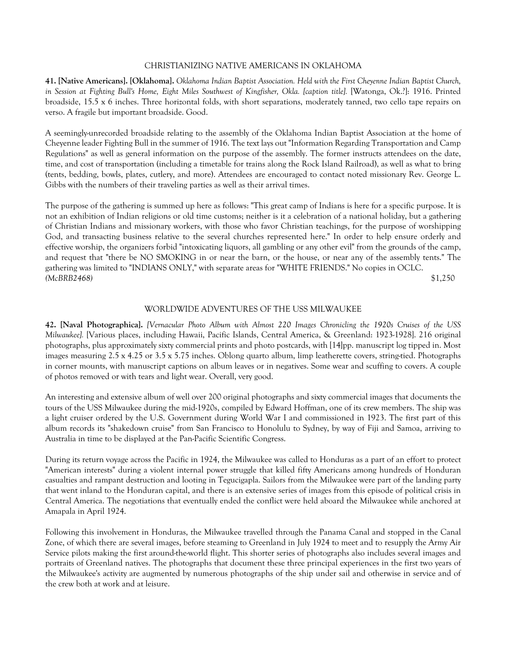# CHRISTIANIZING NATIVE AMERICANS IN OKLAHOMA

**41. [Native Americans]. [Oklahoma].** *Oklahoma Indian Baptist Association. Held with the First Cheyenne Indian Baptist Church, in Session at Fighting Bull's Home, Eight Miles Southwest of Kingfisher, Okla. [caption title].* [Watonga, Ok.?]: 1916. Printed broadside, 15.5 x 6 inches. Three horizontal folds, with short separations, moderately tanned, two cello tape repairs on verso. A fragile but important broadside. Good.

A seemingly-unrecorded broadside relating to the assembly of the Oklahoma Indian Baptist Association at the home of Cheyenne leader Fighting Bull in the summer of 1916. The text lays out "Information Regarding Transportation and Camp Regulations" as well as general information on the purpose of the assembly. The former instructs attendees on the date, time, and cost of transportation (including a timetable for trains along the Rock Island Railroad), as well as what to bring (tents, bedding, bowls, plates, cutlery, and more). Attendees are encouraged to contact noted missionary Rev. George L. Gibbs with the numbers of their traveling parties as well as their arrival times.

The purpose of the gathering is summed up here as follows: "This great camp of Indians is here for a specific purpose. It is not an exhibition of Indian religions or old time customs; neither is it a celebration of a national holiday, but a gathering of Christian Indians and missionary workers, with those who favor Christian teachings, for the purpose of worshipping God, and transacting business relative to the several churches represented here." In order to help ensure orderly and effective worship, the organizers forbid "intoxicating liquors, all gambling or any other evil" from the grounds of the camp, and request that "there be NO SMOKING in or near the barn, or the house, or near any of the assembly tents." The gathering was limited to "INDIANS ONLY," with separate areas for "WHITE FRIENDS." No copies in OCLC. *(McBRB2468)* \$1,250

#### WORLDWIDE ADVENTURES OF THE USS MILWAUKEE

**42. [Naval Photographica].** *[Vernacular Photo Album with Almost 220 Images Chronicling the 1920s Cruises of the USS Milwaukee].* [Various places, including Hawaii, Pacific Islands, Central America, & Greenland: 1923-1928]. 216 original photographs, plus approximately sixty commercial prints and photo postcards, with [14]pp. manuscript log tipped in. Most images measuring 2.5 x 4.25 or 3.5 x 5.75 inches. Oblong quarto album, limp leatherette covers, string-tied. Photographs in corner mounts, with manuscript captions on album leaves or in negatives. Some wear and scuffing to covers. A couple of photos removed or with tears and light wear. Overall, very good.

An interesting and extensive album of well over 200 original photographs and sixty commercial images that documents the tours of the USS Milwaukee during the mid-1920s, compiled by Edward Hoffman, one of its crew members. The ship was a light cruiser ordered by the U.S. Government during World War I and commissioned in 1923. The first part of this album records its "shakedown cruise" from San Francisco to Honolulu to Sydney, by way of Fiji and Samoa, arriving to Australia in time to be displayed at the Pan-Pacific Scientific Congress.

During its return voyage across the Pacific in 1924, the Milwaukee was called to Honduras as a part of an effort to protect "American interests" during a violent internal power struggle that killed fifty Americans among hundreds of Honduran casualties and rampant destruction and looting in Tegucigapla. Sailors from the Milwaukee were part of the landing party that went inland to the Honduran capital, and there is an extensive series of images from this episode of political crisis in Central America. The negotiations that eventually ended the conflict were held aboard the Milwaukee while anchored at Amapala in April 1924.

Following this involvement in Honduras, the Milwaukee travelled through the Panama Canal and stopped in the Canal Zone, of which there are several images, before steaming to Greenland in July 1924 to meet and to resupply the Army Air Service pilots making the first around-the-world flight. This shorter series of photographs also includes several images and portraits of Greenland natives. The photographs that document these three principal experiences in the first two years of the Milwaukee's activity are augmented by numerous photographs of the ship under sail and otherwise in service and of the crew both at work and at leisure.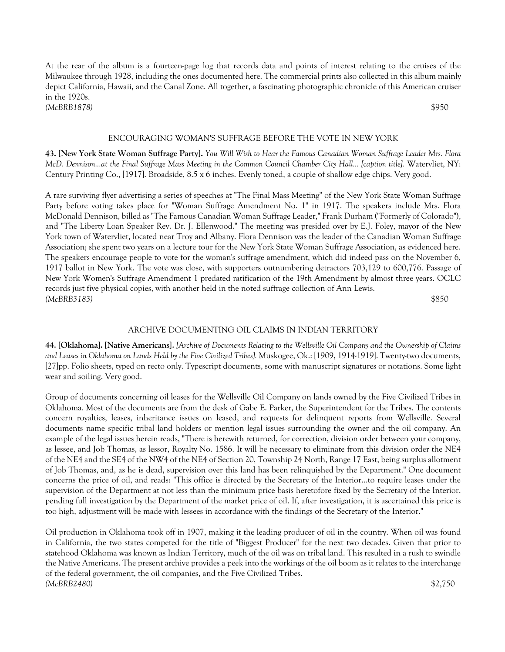At the rear of the album is a fourteen-page log that records data and points of interest relating to the cruises of the Milwaukee through 1928, including the ones documented here. The commercial prints also collected in this album mainly depict California, Hawaii, and the Canal Zone. All together, a fascinating photographic chronicle of this American cruiser in the 1920s. *(McBRB1878)* \$950

# ENCOURAGING WOMAN'S SUFFRAGE BEFORE THE VOTE IN NEW YORK

**43. [New York State Woman Suffrage Party].** *You Will Wish to Hear the Famous Canadian Woman Suffrage Leader Mrs. Flora McD. Dennison...at the Final Suffrage Mass Meeting in the Common Council Chamber City Hall... [caption title].* Watervliet, NY: Century Printing Co., [1917]. Broadside, 8.5 x 6 inches. Evenly toned, a couple of shallow edge chips. Very good.

A rare surviving flyer advertising a series of speeches at "The Final Mass Meeting" of the New York State Woman Suffrage Party before voting takes place for "Woman Suffrage Amendment No. 1" in 1917. The speakers include Mrs. Flora McDonald Dennison, billed as "The Famous Canadian Woman Suffrage Leader," Frank Durham ("Formerly of Colorado"), and "The Liberty Loan Speaker Rev. Dr. J. Ellenwood." The meeting was presided over by E.J. Foley, mayor of the New York town of Watervliet, located near Troy and Albany. Flora Dennison was the leader of the Canadian Woman Suffrage Association; she spent two years on a lecture tour for the New York State Woman Suffrage Association, as evidenced here. The speakers encourage people to vote for the woman's suffrage amendment, which did indeed pass on the November 6, 1917 ballot in New York. The vote was close, with supporters outnumbering detractors 703,129 to 600,776. Passage of New York Women's Suffrage Amendment 1 predated ratification of the 19th Amendment by almost three years. OCLC records just five physical copies, with another held in the noted suffrage collection of Ann Lewis. *(McBRB3183)* \$850

## ARCHIVE DOCUMENTING OIL CLAIMS IN INDIAN TERRITORY

**44. [Oklahoma]. [Native Americans].** *[Archive of Documents Relating to the Wellsville Oil Company and the Ownership of Claims and Leases in Oklahoma on Lands Held by the Five Civilized Tribes].* Muskogee, Ok.: [1909, 1914-1919]. Twenty-two documents, [27]pp. Folio sheets, typed on recto only. Typescript documents, some with manuscript signatures or notations. Some light wear and soiling. Very good.

Group of documents concerning oil leases for the Wellsville Oil Company on lands owned by the Five Civilized Tribes in Oklahoma. Most of the documents are from the desk of Gabe E. Parker, the Superintendent for the Tribes. The contents concern royalties, leases, inheritance issues on leased, and requests for delinquent reports from Wellsville. Several documents name specific tribal land holders or mention legal issues surrounding the owner and the oil company. An example of the legal issues herein reads, "There is herewith returned, for correction, division order between your company, as lessee, and Job Thomas, as lessor, Royalty No. 1586. It will be necessary to eliminate from this division order the NE4 of the NE4 and the SE4 of the NW4 of the NE4 of Section 20, Township 24 North, Range 17 East, being surplus allotment of Job Thomas, and, as he is dead, supervision over this land has been relinquished by the Department." One document concerns the price of oil, and reads: "This office is directed by the Secretary of the Interior...to require leases under the supervision of the Department at not less than the minimum price basis heretofore fixed by the Secretary of the Interior, pending full investigation by the Department of the market price of oil. If, after investigation, it is ascertained this price is too high, adjustment will be made with lessees in accordance with the findings of the Secretary of the Interior."

Oil production in Oklahoma took off in 1907, making it the leading producer of oil in the country. When oil was found in California, the two states competed for the title of "Biggest Producer" for the next two decades. Given that prior to statehood Oklahoma was known as Indian Territory, much of the oil was on tribal land. This resulted in a rush to swindle the Native Americans. The present archive provides a peek into the workings of the oil boom as it relates to the interchange of the federal government, the oil companies, and the Five Civilized Tribes. *(McBRB2480)* \$2,750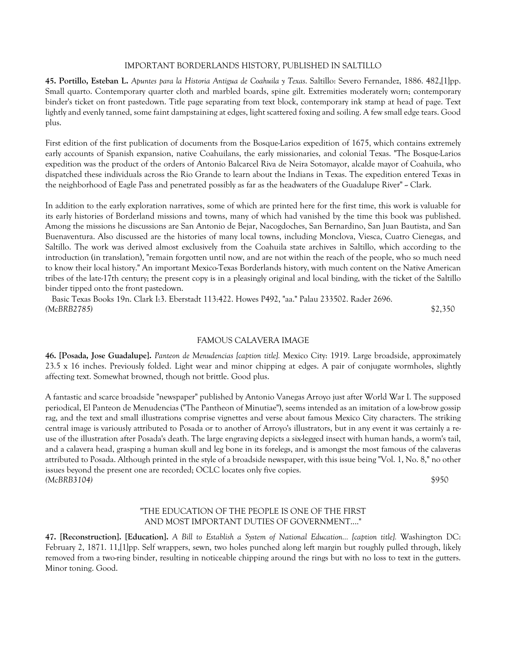## IMPORTANT BORDERLANDS HISTORY, PUBLISHED IN SALTILLO

**45. Portillo, Esteban L.** *Apuntes para la Historia Antigua de Coahuila y Texas*. Saltillo: Severo Fernandez, 1886. 482,[1]pp. Small quarto. Contemporary quarter cloth and marbled boards, spine gilt. Extremities moderately worn; contemporary binder's ticket on front pastedown. Title page separating from text block, contemporary ink stamp at head of page. Text lightly and evenly tanned, some faint dampstaining at edges, light scattered foxing and soiling. A few small edge tears. Good plus.

First edition of the first publication of documents from the Bosque-Larios expedition of 1675, which contains extremely early accounts of Spanish expansion, native Coahuilans, the early missionaries, and colonial Texas. "The Bosque-Larios expedition was the product of the orders of Antonio Balcarcel Riva de Neira Sotomayor, alcalde mayor of Coahuila, who dispatched these individuals across the Rio Grande to learn about the Indians in Texas. The expedition entered Texas in the neighborhood of Eagle Pass and penetrated possibly as far as the headwaters of the Guadalupe River" ~ Clark.

In addition to the early exploration narratives, some of which are printed here for the first time, this work is valuable for its early histories of Borderland missions and towns, many of which had vanished by the time this book was published. Among the missions he discussions are San Antonio de Bejar, Nacogdoches, San Bernardino, San Juan Bautista, and San Buenaventura. Also discussed are the histories of many local towns, including Monclova, Viesca, Cuatro Cienegas, and Saltillo. The work was derived almost exclusively from the Coahuila state archives in Saltillo, which according to the introduction (in translation), "remain forgotten until now, and are not within the reach of the people, who so much need to know their local history." An important Mexico-Texas Borderlands history, with much content on the Native American tribes of the late-17th century; the present copy is in a pleasingly original and local binding, with the ticket of the Saltillo binder tipped onto the front pastedown.

 Basic Texas Books 19n. Clark I:3. Eberstadt 113:422. Howes P492, "aa." Palau 233502. Rader 2696. *(McBRB2785)* \$2,350

## FAMOUS CALAVERA IMAGE

**46. [Posada, Jose Guadalupe].** *Panteon de Menudencias [caption title].* Mexico City: 1919. Large broadside, approximately 23.5 x 16 inches. Previously folded. Light wear and minor chipping at edges. A pair of conjugate wormholes, slightly affecting text. Somewhat browned, though not brittle. Good plus.

A fantastic and scarce broadside "newspaper" published by Antonio Vanegas Arroyo just after World War I. The supposed periodical, El Panteon de Menudencias ("The Pantheon of Minutiae"), seems intended as an imitation of a low-brow gossip rag, and the text and small illustrations comprise vignettes and verse about famous Mexico City characters. The striking central image is variously attributed to Posada or to another of Arroyo's illustrators, but in any event it was certainly a reuse of the illustration after Posada's death. The large engraving depicts a six-legged insect with human hands, a worm's tail, and a calavera head, grasping a human skull and leg bone in its forelegs, and is amongst the most famous of the calaveras attributed to Posada. Although printed in the style of a broadside newspaper, with this issue being "Vol. 1, No. 8," no other issues beyond the present one are recorded; OCLC locates only five copies. *(McBRB3104)* \$950

# "THE EDUCATION OF THE PEOPLE IS ONE OF THE FIRST AND MOST IMPORTANT DUTIES OF GOVERNMENT...."

**47. [Reconstruction]. [Education].** *A Bill to Establish a System of National Education... [caption title].* Washington DC: February 2, 1871. 11,[1]pp. Self wrappers, sewn, two holes punched along left margin but roughly pulled through, likely removed from a two-ring binder, resulting in noticeable chipping around the rings but with no loss to text in the gutters. Minor toning. Good.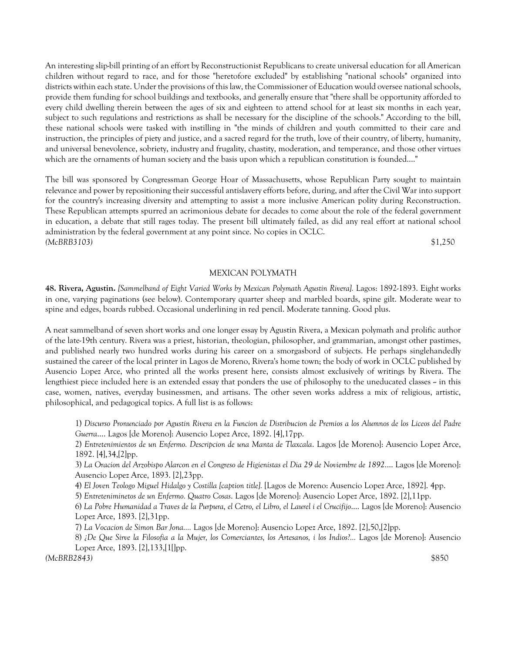An interesting slip-bill printing of an effort by Reconstructionist Republicans to create universal education for all American children without regard to race, and for those "heretofore excluded" by establishing "national schools" organized into districts within each state. Under the provisions of this law, the Commissioner of Education would oversee national schools, provide them funding for school buildings and textbooks, and generally ensure that "there shall be opportunity afforded to every child dwelling therein between the ages of six and eighteen to attend school for at least six months in each year, subject to such regulations and restrictions as shall be necessary for the discipline of the schools." According to the bill, these national schools were tasked with instilling in "the minds of children and youth committed to their care and instruction, the principles of piety and justice, and a sacred regard for the truth, love of their country, of liberty, humanity, and universal benevolence, sobriety, industry and frugality, chastity, moderation, and temperance, and those other virtues which are the ornaments of human society and the basis upon which a republican constitution is founded...."

The bill was sponsored by Congressman George Hoar of Massachusetts, whose Republican Party sought to maintain relevance and power by repositioning their successful antislavery efforts before, during, and after the Civil War into support for the country's increasing diversity and attempting to assist a more inclusive American polity during Reconstruction. These Republican attempts spurred an acrimonious debate for decades to come about the role of the federal government in education, a debate that still rages today. The present bill ultimately failed, as did any real effort at national school administration by the federal government at any point since. No copies in OCLC. *(McBRB3103)* \$1,250

## MEXICAN POLYMATH

**48. Rivera, Agustin.** *[Sammelband of Eight Varied Works by Mexican Polymath Agustin Rivera].* Lagos: 1892-1893. Eight works in one, varying paginations (see below). Contemporary quarter sheep and marbled boards, spine gilt. Moderate wear to spine and edges, boards rubbed. Occasional underlining in red pencil. Moderate tanning. Good plus.

A neat sammelband of seven short works and one longer essay by Agustin Rivera, a Mexican polymath and prolific author of the late-19th century. Rivera was a priest, historian, theologian, philosopher, and grammarian, amongst other pastimes, and published nearly two hundred works during his career on a smorgasbord of subjects. He perhaps singlehandedly sustained the career of the local printer in Lagos de Moreno, Rivera's home town; the body of work in OCLC published by Ausencio Lopez Arce, who printed all the works present here, consists almost exclusively of writings by Rivera. The lengthiest piece included here is an extended essay that ponders the use of philosophy to the uneducated classes  $\sim$  in this case, women, natives, everyday businessmen, and artisans. The other seven works address a mix of religious, artistic, philosophical, and pedagogical topics. A full list is as follows:

1) *Discurso Pronunciado por Agustin Rivera en la Funcion de Distribucion de Premios a los Alumnos de los Liceos del Padre Guerra*.... Lagos [de Moreno]: Ausencio Lopez Arce, 1892. [4],17pp.

2) *Entretenimientos de un Enfermo. Descripcion de una Manta de Tlaxcala*. Lagos [de Moreno]: Ausencio Lopez Arce, 1892. [4],34,[2]pp.

3) *La Oracion del Arzobispo Alarcon en el Congreso de Higienistas el Dia 29 de Noviembre de 1892*.... Lagos [de Moreno]: Ausencio Lopez Arce, 1893. [2],23pp.

4) *El Joven Teologo Miguel Hidalgo y Costilla [caption title].* [Lagos de Moreno: Ausencio Lopez Arce, 1892]. 4pp.

5) *Entreteniminetos de un Enfermo. Quatro Cosas*. Lagos [de Moreno]: Ausencio Lopez Arce, 1892. [2],11pp.

6) *La Pobre Humanidad a Traves de la Purpura, el Cetro, el Libro, el Laurel i el Crucifijo*.... Lagos [de Moreno]: Ausencio Lopez Arce, 1893. [2],31pp.

7) *La Vocacion de Simon Bar Jona....* Lagos [de Moreno]: Ausencio Lopez Arce, 1892. [2],50,[2]pp.

8) *¿De Que Sirve la Filosofia a la Mujer, los Comerciantes, los Artesanos, i los Indios?...* Lagos [de Moreno]: Ausencio Lopez Arce, 1893. [2],133,[1[]pp.

*(McBRB2843)* \$850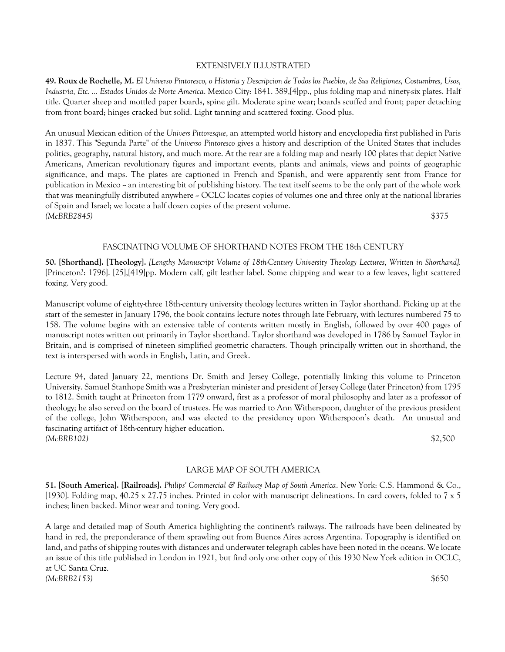# EXTENSIVELY ILLUSTRATED

**49. Roux de Rochelle, M.** *El Universo Pintoresco, o Historia y Descripcion de Todos los Pueblos, de Sus Religiones, Costumbres, Usos, Industria, Etc. ... Estados Unidos de Norte America*. Mexico City: 1841. 389,[4]pp., plus folding map and ninety-six plates. Half title. Quarter sheep and mottled paper boards, spine gilt. Moderate spine wear; boards scuffed and front; paper detaching from front board; hinges cracked but solid. Light tanning and scattered foxing. Good plus.

An unusual Mexican edition of the *Univers Pittoresque*, an attempted world history and encyclopedia first published in Paris in 1837. This "Segunda Parte" of the *Universo Pintoresco* gives a history and description of the United States that includes politics, geography, natural history, and much more. At the rear are a folding map and nearly 100 plates that depict Native Americans, American revolutionary figures and important events, plants and animals, views and points of geographic significance, and maps. The plates are captioned in French and Spanish, and were apparently sent from France for publication in Mexico - an interesting bit of publishing history. The text itself seems to be the only part of the whole work that was meaningfully distributed anywhere  $\sim$  OCLC locates copies of volumes one and three only at the national libraries of Spain and Israel; we locate a half dozen copies of the present volume. *(McBRB2845)* \$375

# FASCINATING VOLUME OF SHORTHAND NOTES FROM THE 18th CENTURY

**50. [Shorthand]. [Theology].** *[Lengthy Manuscript Volume of 18th-Century University Theology Lectures, Written in Shorthand].* [Princeton?: 1796]. [25],[419]pp. Modern calf, gilt leather label. Some chipping and wear to a few leaves, light scattered foxing. Very good.

Manuscript volume of eighty-three 18th-century university theology lectures written in Taylor shorthand. Picking up at the start of the semester in January 1796, the book contains lecture notes through late February, with lectures numbered 75 to 158. The volume begins with an extensive table of contents written mostly in English, followed by over 400 pages of manuscript notes written out primarily in Taylor shorthand. Taylor shorthand was developed in 1786 by Samuel Taylor in Britain, and is comprised of nineteen simplified geometric characters. Though principally written out in shorthand, the text is interspersed with words in English, Latin, and Greek.

Lecture 94, dated January 22, mentions Dr. Smith and Jersey College, potentially linking this volume to Princeton University. Samuel Stanhope Smith was a Presbyterian minister and president of Jersey College (later Princeton) from 1795 to 1812. Smith taught at Princeton from 1779 onward, first as a professor of moral philosophy and later as a professor of theology; he also served on the board of trustees. He was married to Ann Witherspoon, daughter of the previous president of the college, John Witherspoon, and was elected to the presidency upon Witherspoon's death. An unusual and fascinating artifact of 18th-century higher education. *(McBRB102)* \$2,500

## LARGE MAP OF SOUTH AMERICA

**51. [South America]. [Railroads].** *Philips' Commercial & Railway Map of South America*. New York: C.S. Hammond & Co., [1930]. Folding map, 40.25 x 27.75 inches. Printed in color with manuscript delineations. In card covers, folded to 7 x 5 inches; linen backed. Minor wear and toning. Very good.

A large and detailed map of South America highlighting the continent's railways. The railroads have been delineated by hand in red, the preponderance of them sprawling out from Buenos Aires across Argentina. Topography is identified on land, and paths of shipping routes with distances and underwater telegraph cables have been noted in the oceans. We locate an issue of this title published in London in 1921, but find only one other copy of this 1930 New York edition in OCLC, at UC Santa Cruz. *(McBRB2153)* \$650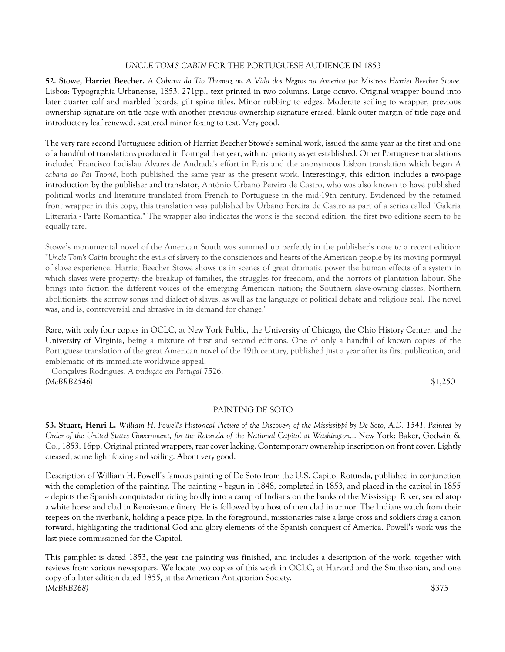# *UNCLE TOM'S CABIN* FOR THE PORTUGUESE AUDIENCE IN 1853

**52. Stowe, Harriet Beecher.** *A Cabana do Tio Thomaz ou A Vida dos Negros na America por Mistress Harriet Beecher Stowe.* Lisboa: Typographia Urbanense, 1853. 271pp., text printed in two columns. Large octavo. Original wrapper bound into later quarter calf and marbled boards, gilt spine titles. Minor rubbing to edges. Moderate soiling to wrapper, previous ownership signature on title page with another previous ownership signature erased, blank outer margin of title page and introductory leaf renewed. scattered minor foxing to text. Very good.

The very rare second Portuguese edition of Harriet Beecher Stowe's seminal work, issued the same year as the first and one of a handful of translations produced in Portugal that year, with no priority as yet established. Other Portuguese translations included Francisco Ladislau Alvares de Andrada's effort in Paris and the anonymous Lisbon translation which began *A cabana do Pai Thomé*, both published the same year as the present work. Interestingly, this edition includes a two-page introduction by the publisher and translator, António Urbano Pereira de Castro, who was also known to have published political works and literature translated from French to Portuguese in the mid-19th century. Evidenced by the retained front wrapper in this copy, this translation was published by Urbano Pereira de Castro as part of a series called "Galeria Litteraria - Parte Romantica." The wrapper also indicates the work is the second edition; the first two editions seem to be equally rare.

Stowe's monumental novel of the American South was summed up perfectly in the publisher's note to a recent edition: "*Uncle Tom's Cabin* brought the evils of slavery to the consciences and hearts of the American people by its moving portrayal of slave experience. Harriet Beecher Stowe shows us in scenes of great dramatic power the human effects of a system in which slaves were property: the breakup of families, the struggles for freedom, and the horrors of plantation labour. She brings into fiction the different voices of the emerging American nation; the Southern slave-owning classes, Northern abolitionists, the sorrow songs and dialect of slaves, as well as the language of political debate and religious zeal. The novel was, and is, controversial and abrasive in its demand for change."

Rare, with only four copies in OCLC, at New York Public, the University of Chicago, the Ohio History Center, and the University of Virginia, being a mixture of first and second editions. One of only a handful of known copies of the Portuguese translation of the great American novel of the 19th century, published just a year after its first publication, and emblematic of its immediate worldwide appeal.

 Gonçalves Rodrigues, *A tradução em Portugal* 7526. *(McBRB2546)* \$1,250

# PAINTING DE SOTO

**53. Stuart, Henri L.** *William H. Powell's Historical Picture of the Discovery of the Mississippi by De Soto, A.D. 1541, Painted by Order of the United States Government, for the Rotunda of the National Capitol at Washington*... New York: Baker, Godwin & Co., 1853. 16pp. Original printed wrappers, rear cover lacking. Contemporary ownership inscription on front cover. Lightly creased, some light foxing and soiling. About very good.

Description of William H. Powell's famous painting of De Soto from the U.S. Capitol Rotunda, published in conjunction with the completion of the painting. The painting  $\sim$  begun in 1848, completed in 1853, and placed in the capitol in 1855 -- depicts the Spanish conquistador riding boldly into a camp of Indians on the banks of the Mississippi River, seated atop a white horse and clad in Renaissance finery. He is followed by a host of men clad in armor. The Indians watch from their teepees on the riverbank, holding a peace pipe. In the foreground, missionaries raise a large cross and soldiers drag a canon forward, highlighting the traditional God and glory elements of the Spanish conquest of America. Powell's work was the last piece commissioned for the Capitol.

This pamphlet is dated 1853, the year the painting was finished, and includes a description of the work, together with reviews from various newspapers. We locate two copies of this work in OCLC, at Harvard and the Smithsonian, and one copy of a later edition dated 1855, at the American Antiquarian Society. *(McBRB268)* \$375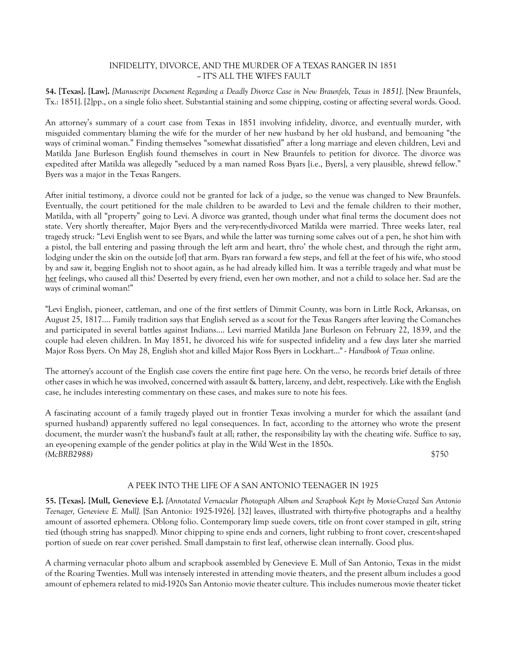# INFIDELITY, DIVORCE, AND THE MURDER OF A TEXAS RANGER IN 1851 -- IT'S ALL THE WIFE'S FAULT

**54. [Texas]. [Law].** *[Manuscript Document Regarding a Deadly Divorce Case in New Braunfels, Texas in 1851]*. [New Braunfels, Tx.: 1851]. [2]pp., on a single folio sheet. Substantial staining and some chipping, costing or affecting several words. Good.

An attorney's summary of a court case from Texas in 1851 involving infidelity, divorce, and eventually murder, with misguided commentary blaming the wife for the murder of her new husband by her old husband, and bemoaning "the ways of criminal woman." Finding themselves "somewhat dissatisfied" after a long marriage and eleven children, Levi and Matilda Jane Burleson English found themselves in court in New Braunfels to petition for divorce. The divorce was expedited after Matilda was allegedly "seduced by a man named Ross Byars [i.e., Byers], a very plausible, shrewd fellow." Byers was a major in the Texas Rangers.

After initial testimony, a divorce could not be granted for lack of a judge, so the venue was changed to New Braunfels. Eventually, the court petitioned for the male children to be awarded to Levi and the female children to their mother, Matilda, with all "property" going to Levi. A divorce was granted, though under what final terms the document does not state. Very shortly thereafter, Major Byers and the very-recently-divorced Matilda were married. Three weeks later, real tragedy struck: "Levi English went to see Byars, and while the latter was turning some calves out of a pen, he shot him with a pistol, the ball entering and passing through the left arm and heart, thro' the whole chest, and through the right arm, lodging under the skin on the outside [of] that arm. Byars ran forward a few steps, and fell at the feet of his wife, who stood by and saw it, begging English not to shoot again, as he had already killed him. It was a terrible tragedy and what must be her feelings, who caused all this? Deserted by every friend, even her own mother, and not a child to solace her. Sad are the ways of criminal woman!"

"Levi English, pioneer, cattleman, and one of the first settlers of Dimmit County, was born in Little Rock, Arkansas, on August 25, 1817.... Family tradition says that English served as a scout for the Texas Rangers after leaving the Comanches and participated in several battles against Indians.... Levi married Matilda Jane Burleson on February 22, 1839, and the couple had eleven children. In May 1851, he divorced his wife for suspected infidelity and a few days later she married Major Ross Byers. On May 28, English shot and killed Major Ross Byers in Lockhart..." - *Handbook of Texas* online.

The attorney's account of the English case covers the entire first page here. On the verso, he records brief details of three other cases in which he was involved, concerned with assault & battery, larceny, and debt, respectively. Like with the English case, he includes interesting commentary on these cases, and makes sure to note his fees.

A fascinating account of a family tragedy played out in frontier Texas involving a murder for which the assailant (and spurned husband) apparently suffered no legal consequences. In fact, according to the attorney who wrote the present document, the murder wasn't the husband's fault at all; rather, the responsibility lay with the cheating wife. Suffice to say, an eye-opening example of the gender politics at play in the Wild West in the 1850s. *(McBRB2988)* \$750

# A PEEK INTO THE LIFE OF A SAN ANTONIO TEENAGER IN 1925

**55. [Texas]. [Mull, Genevieve E.].** *[Annotated Vernacular Photograph Album and Scrapbook Kept by Movie-Crazed San Antonio Teenager, Genevieve E. Mull].* [San Antonio: 1925-1926]. [32] leaves, illustrated with thirty-five photographs and a healthy amount of assorted ephemera. Oblong folio. Contemporary limp suede covers, title on front cover stamped in gilt, string tied (though string has snapped). Minor chipping to spine ends and corners, light rubbing to front cover, crescent-shaped portion of suede on rear cover perished. Small dampstain to first leaf, otherwise clean internally. Good plus.

A charming vernacular photo album and scrapbook assembled by Genevieve E. Mull of San Antonio, Texas in the midst of the Roaring Twenties. Mull was intensely interested in attending movie theaters, and the present album includes a good amount of ephemera related to mid-1920s San Antonio movie theater culture. This includes numerous movie theater ticket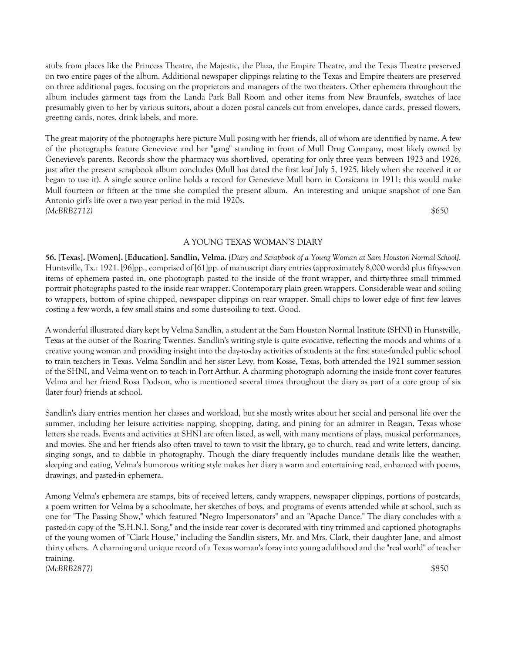stubs from places like the Princess Theatre, the Majestic, the Plaza, the Empire Theatre, and the Texas Theatre preserved on two entire pages of the album. Additional newspaper clippings relating to the Texas and Empire theaters are preserved on three additional pages, focusing on the proprietors and managers of the two theaters. Other ephemera throughout the album includes garment tags from the Landa Park Ball Room and other items from New Braunfels, swatches of lace presumably given to her by various suitors, about a dozen postal cancels cut from envelopes, dance cards, pressed flowers, greeting cards, notes, drink labels, and more.

The great majority of the photographs here picture Mull posing with her friends, all of whom are identified by name. A few of the photographs feature Genevieve and her "gang" standing in front of Mull Drug Company, most likely owned by Genevieve's parents. Records show the pharmacy was short-lived, operating for only three years between 1923 and 1926, just after the present scrapbook album concludes (Mull has dated the first leaf July 5, 1925, likely when she received it or began to use it). A single source online holds a record for Genevieve Mull born in Corsicana in 1911; this would make Mull fourteen or fifteen at the time she compiled the present album. An interesting and unique snapshot of one San Antonio girl's life over a two year period in the mid 1920s. *(McBRB2712)* \$650

# A YOUNG TEXAS WOMAN'S DIARY

**56. [Texas]. [Women]. [Education]. Sandlin, Velma.** *[Diary and Scrapbook of a Young Woman at Sam Houston Normal School].* Huntsville, Tx.: 1921. [96]pp., comprised of [61]pp. of manuscript diary entries (approximately 8,000 words) plus fifty-seven items of ephemera pasted in, one photograph pasted to the inside of the front wrapper, and thirty-three small trimmed portrait photographs pasted to the inside rear wrapper. Contemporary plain green wrappers. Considerable wear and soiling to wrappers, bottom of spine chipped, newspaper clippings on rear wrapper. Small chips to lower edge of first few leaves costing a few words, a few small stains and some dust-soiling to text. Good.

A wonderful illustrated diary kept by Velma Sandlin, a student at the Sam Houston Normal Institute (SHNI) in Hunstville, Texas at the outset of the Roaring Twenties. Sandlin's writing style is quite evocative, reflecting the moods and whims of a creative young woman and providing insight into the day-to-day activities of students at the first state-funded public school to train teachers in Texas. Velma Sandlin and her sister Levy, from Kosse, Texas, both attended the 1921 summer session of the SHNI, and Velma went on to teach in Port Arthur. A charming photograph adorning the inside front cover features Velma and her friend Rosa Dodson, who is mentioned several times throughout the diary as part of a core group of six (later four) friends at school.

Sandlin's diary entries mention her classes and workload, but she mostly writes about her social and personal life over the summer, including her leisure activities: napping, shopping, dating, and pining for an admirer in Reagan, Texas whose letters she reads. Events and activities at SHNI are often listed, as well, with many mentions of plays, musical performances, and movies. She and her friends also often travel to town to visit the library, go to church, read and write letters, dancing, singing songs, and to dabble in photography. Though the diary frequently includes mundane details like the weather, sleeping and eating, Velma's humorous writing style makes her diary a warm and entertaining read, enhanced with poems, drawings, and pasted-in ephemera.

Among Velma's ephemera are stamps, bits of received letters, candy wrappers, newspaper clippings, portions of postcards, a poem written for Velma by a schoolmate, her sketches of boys, and programs of events attended while at school, such as one for "The Passing Show," which featured "Negro Impersonators" and an "Apache Dance." The diary concludes with a pasted-in copy of the "S.H.N.I. Song," and the inside rear cover is decorated with tiny trimmed and captioned photographs of the young women of "Clark House," including the Sandlin sisters, Mr. and Mrs. Clark, their daughter Jane, and almost thirty others. A charming and unique record of a Texas woman's foray into young adulthood and the "real world" of teacher training. *(McBRB2877)* \$850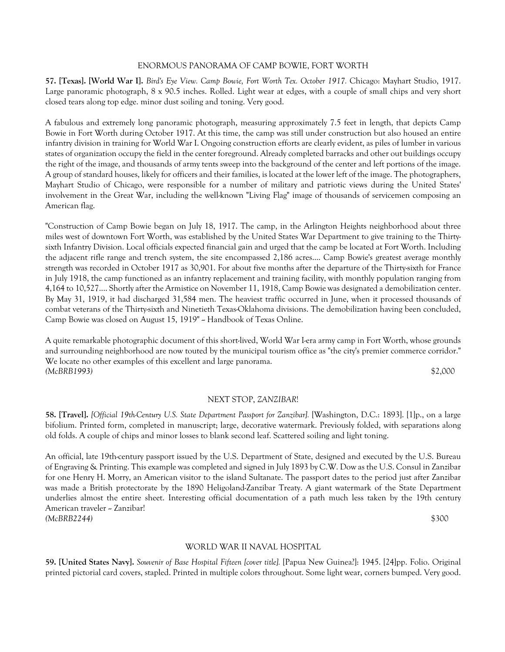#### ENORMOUS PANORAMA OF CAMP BOWIE, FORT WORTH

**57. [Texas]. [World War I].** *Bird's Eye View. Camp Bowie, Fort Worth Tex. October 1917.* Chicago: Mayhart Studio, 1917. Large panoramic photograph, 8 x 90.5 inches. Rolled. Light wear at edges, with a couple of small chips and very short closed tears along top edge. minor dust soiling and toning. Very good.

A fabulous and extremely long panoramic photograph, measuring approximately 7.5 feet in length, that depicts Camp Bowie in Fort Worth during October 1917. At this time, the camp was still under construction but also housed an entire infantry division in training for World War I. Ongoing construction efforts are clearly evident, as piles of lumber in various states of organization occupy the field in the center foreground. Already completed barracks and other out buildings occupy the right of the image, and thousands of army tents sweep into the background of the center and left portions of the image. A group of standard houses, likely for officers and their families, is located at the lower left of the image. The photographers, Mayhart Studio of Chicago, were responsible for a number of military and patriotic views during the United States' involvement in the Great War, including the well-known "Living Flag" image of thousands of servicemen composing an American flag.

"Construction of Camp Bowie began on July 18, 1917. The camp, in the Arlington Heights neighborhood about three miles west of downtown Fort Worth, was established by the United States War Department to give training to the Thirtysixth Infantry Division. Local officials expected financial gain and urged that the camp be located at Fort Worth. Including the adjacent rifle range and trench system, the site encompassed 2,186 acres.... Camp Bowie's greatest average monthly strength was recorded in October 1917 as 30,901. For about five months after the departure of the Thirty-sixth for France in July 1918, the camp functioned as an infantry replacement and training facility, with monthly population ranging from 4,164 to 10,527.... Shortly after the Armistice on November 11, 1918, Camp Bowie was designated a demobilization center. By May 31, 1919, it had discharged 31,584 men. The heaviest traffic occurred in June, when it processed thousands of combat veterans of the Thirty-sixth and Ninetieth Texas-Oklahoma divisions. The demobilization having been concluded, Camp Bowie was closed on August 15, 1919" ~ Handbook of Texas Online.

A quite remarkable photographic document of this short-lived, World War I-era army camp in Fort Worth, whose grounds and surrounding neighborhood are now touted by the municipal tourism office as "the city's premier commerce corridor." We locate no other examples of this excellent and large panorama. *(McBRB1993)* \$2,000

# NEXT STOP, *ZANZIBAR*!

**58. [Travel].** *[Official 19th-Century U.S. State Department Passport for Zanzibar].* [Washington, D.C.: 1893]. [1]p., on a large bifolium. Printed form, completed in manuscript; large, decorative watermark. Previously folded, with separations along old folds. A couple of chips and minor losses to blank second leaf. Scattered soiling and light toning.

An official, late 19th-century passport issued by the U.S. Department of State, designed and executed by the U.S. Bureau of Engraving & Printing. This example was completed and signed in July 1893 by C.W. Dow as the U.S. Consul in Zanzibar for one Henry H. Morry, an American visitor to the island Sultanate. The passport dates to the period just after Zanzibar was made a British protectorate by the 1890 Heligoland-Zanzibar Treaty. A giant watermark of the State Department underlies almost the entire sheet. Interesting official documentation of a path much less taken by the 19th century American traveler ~ Zanzibar! *(McBRB2244)* \$300

#### WORLD WAR II NAVAL HOSPITAL

**59. [United States Navy].** *Souvenir of Base Hospital Fifteen [cover title].* [Papua New Guinea?]: 1945. [24]pp. Folio. Original printed pictorial card covers, stapled. Printed in multiple colors throughout. Some light wear, corners bumped. Very good.